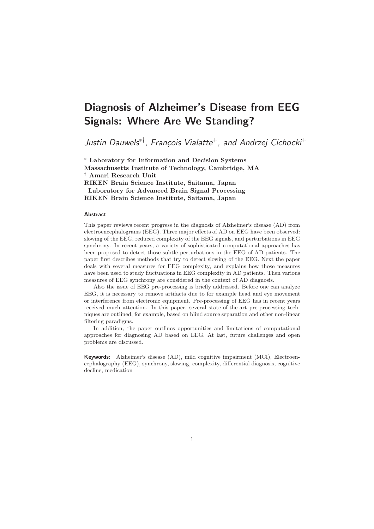# Diagnosis of Alzheimer's Disease from EEG Signals: Where Are We Standing?

Justin Dauwels<sup>∗†</sup>, François Vialatte<sup>+</sup>, and Andrzej Cichocki<sup>+</sup>

<sup>∗</sup> Laboratory for Information and Decision Systems Massachusetts Institute of Technology, Cambridge, MA † Amari Research Unit RIKEN Brain Science Institute, Saitama, Japan <sup>+</sup>Laboratory for Advanced Brain Signal Processing

RIKEN Brain Science Institute, Saitama, Japan

#### **Abstract**

This paper reviews recent progress in the diagnosis of Alzheimer's disease (AD) from electroencephalograms (EEG). Three major effects of AD on EEG have been observed: slowing of the EEG, reduced complexity of the EEG signals, and perturbations in EEG synchrony. In recent years, a variety of sophisticated computational approaches has been proposed to detect those subtle perturbations in the EEG of AD patients. The paper first describes methods that try to detect slowing of the EEG. Next the paper deals with several measures for EEG complexity, and explains how those measures have been used to study fluctuations in EEG complexity in AD patients. Then various measures of EEG synchrony are considered in the context of AD diagnosis.

Also the issue of EEG pre-processing is briefly addressed. Before one can analyze EEG, it is necessary to remove artifacts due to for example head and eye movement or interference from electronic equipment. Pre-processing of EEG has in recent years received much attention. In this paper, several state-of-the-art pre-processing techniques are outlined, for example, based on blind source separation and other non-linear filtering paradigms.

In addition, the paper outlines opportunities and limitations of computational approaches for diagnosing AD based on EEG. At last, future challenges and open problems are discussed.

Keywords: Alzheimer's disease (AD), mild cognitive impairment (MCI), Electroencephalography (EEG), synchrony, slowing, complexity, differential diagnosis, cognitive decline, medication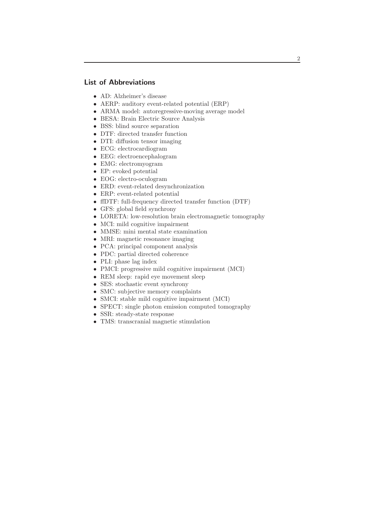# List of Abbreviations

- AD: Alzheimer's disease
- AERP: auditory event-related potential (ERP)
- ARMA model: autoregressive-moving average model
- BESA: Brain Electric Source Analysis
- BSS: blind source separation
- DTF: directed transfer function
- DTI: diffusion tensor imaging
- ECG: electrocardiogram
- EEG: electroencephalogram
- EMG: electromyogram
- EP: evoked potential
- EOG: electro-oculogram
- ERD: event-related desynchronization
- ERP: event-related potential
- ffDTF: full-frequency directed transfer function (DTF)
- GFS: global field synchrony
- LORETA: low-resolution brain electromagnetic tomography
- MCI: mild cognitive impairment
- MMSE: mini mental state examination
- MRI: magnetic resonance imaging
- PCA: principal component analysis
- PDC: partial directed coherence
- PLI: phase lag index
- PMCI: progressive mild cognitive impairment (MCI)
- REM sleep: rapid eye movement sleep
- SES: stochastic event synchrony
- SMC: subjective memory complaints
- SMCI: stable mild cognitive impairment (MCI)
- SPECT: single photon emission computed tomography
- SSR: steady-state response
- TMS: transcranial magnetic stimulation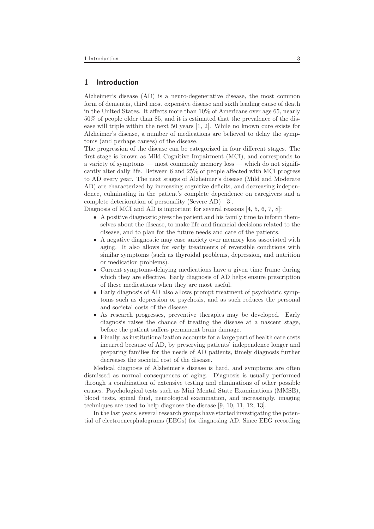### 1 Introduction

Alzheimer's disease (AD) is a neuro-degenerative disease, the most common form of dementia, third most expensive disease and sixth leading cause of death in the United States. It affects more than 10% of Americans over age 65, nearly 50% of people older than 85, and it is estimated that the prevalence of the disease will triple within the next 50 years [1, 2]. While no known cure exists for Alzheimer's disease, a number of medications are believed to delay the symptoms (and perhaps causes) of the disease.

The progression of the disease can be categorized in four different stages. The first stage is known as Mild Cognitive Impairment (MCI), and corresponds to a variety of symptoms — most commonly memory loss — which do not significantly alter daily life. Between 6 and 25% of people affected with MCI progress to AD every year. The next stages of Alzheimer's disease (Mild and Moderate AD) are characterized by increasing cognitive deficits, and decreasing independence, culminating in the patient's complete dependence on caregivers and a complete deterioration of personality (Severe AD) [3].

Diagnosis of MCI and AD is important for several reasons [4, 5, 6, 7, 8]:

- A positive diagnostic gives the patient and his family time to inform themselves about the disease, to make life and financial decisions related to the disease, and to plan for the future needs and care of the patients.
- A negative diagnostic may ease anxiety over memory loss associated with aging. It also allows for early treatments of reversible conditions with similar symptoms (such as thyroidal problems, depression, and nutrition or medication problems).
- Current symptoms-delaying medications have a given time frame during which they are effective. Early diagnosis of AD helps ensure prescription of these medications when they are most useful.
- Early diagnosis of AD also allows prompt treatment of psychiatric symptoms such as depression or psychosis, and as such reduces the personal and societal costs of the disease.
- As research progresses, preventive therapies may be developed. Early diagnosis raises the chance of treating the disease at a nascent stage, before the patient suffers permanent brain damage.
- Finally, as institutionalization accounts for a large part of health care costs incurred because of AD, by preserving patients' independence longer and preparing families for the needs of AD patients, timely diagnosis further decreases the societal cost of the disease.

Medical diagnosis of Alzheimer's disease is hard, and symptoms are often dismissed as normal consequences of aging. Diagnosis is usually performed through a combination of extensive testing and eliminations of other possible causes. Psychological tests such as Mini Mental State Examinations (MMSE), blood tests, spinal fluid, neurological examination, and increasingly, imaging techniques are used to help diagnose the disease [9, 10, 11, 12, 13].

In the last years, several research groups have started investigating the potential of electroencephalograms (EEGs) for diagnosing AD. Since EEG recording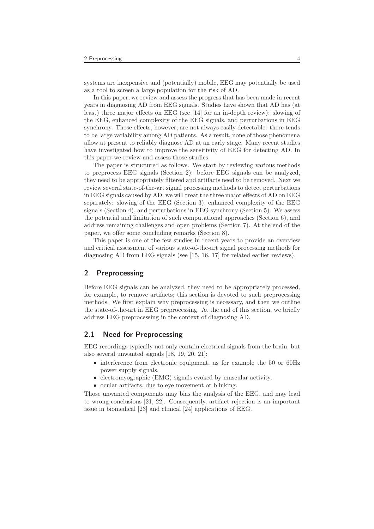systems are inexpensive and (potentially) mobile, EEG may potentially be used as a tool to screen a large population for the risk of AD.

In this paper, we review and assess the progress that has been made in recent years in diagnosing AD from EEG signals. Studies have shown that AD has (at least) three major effects on EEG (see [14] for an in-depth review): slowing of the EEG, enhanced complexity of the EEG signals, and perturbations in EEG synchrony. Those effects, however, are not always easily detectable: there tends to be large variability among AD patients. As a result, none of those phenomena allow at present to reliably diagnose AD at an early stage. Many recent studies have investigated how to improve the sensitivity of EEG for detecting AD. In this paper we review and assess those studies.

The paper is structured as follows. We start by reviewing various methods to preprocess EEG signals (Section 2): before EEG signals can be analyzed, they need to be appropriately filtered and artifacts need to be removed. Next we review several state-of-the-art signal processing methods to detect perturbations in EEG signals caused by AD; we will treat the three major effects of AD on EEG separately: slowing of the EEG (Section 3), enhanced complexity of the EEG signals (Section 4), and perturbations in EEG synchrony (Section 5). We assess the potential and limitation of such computational approaches (Section 6), and address remaining challenges and open problems (Section 7). At the end of the paper, we offer some concluding remarks (Section 8).

This paper is one of the few studies in recent years to provide an overview and critical assessment of various state-of-the-art signal processing methods for diagnosing AD from EEG signals (see [15, 16, 17] for related earlier reviews).

### 2 Preprocessing

Before EEG signals can be analyzed, they need to be appropriately processed, for example, to remove artifacts; this section is devoted to such preprocessing methods. We first explain why preprocessing is necessary, and then we outline the state-of-the-art in EEG preprocessing. At the end of this section, we briefly address EEG preprocessing in the context of diagnosing AD.

# 2.1 Need for Preprocessing

EEG recordings typically not only contain electrical signals from the brain, but also several unwanted signals [18, 19, 20, 21]:

- interference from electronic equipment, as for example the 50 or 60Hz power supply signals,
- electromyographic (EMG) signals evoked by muscular activity,
- ocular artifacts, due to eye movement or blinking.

Those unwanted components may bias the analysis of the EEG, and may lead to wrong conclusions [21, 22]. Consequently, artifact rejection is an important issue in biomedical [23] and clinical [24] applications of EEG.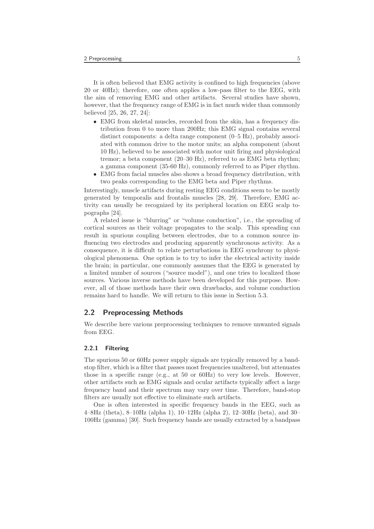It is often believed that EMG activity is confined to high frequencies (above 20 or 40Hz); therefore, one often applies a low-pass filter to the EEG, with the aim of removing EMG and other artifacts. Several studies have shown, however, that the frequency range of EMG is in fact much wider than commonly believed [25, 26, 27, 24]:

- EMG from skeletal muscles, recorded from the skin, has a frequency distribution from 0 to more than 200Hz; this EMG signal contains several distinct components: a delta range component (0–5 Hz), probably associated with common drive to the motor units; an alpha component (about 10 Hz), believed to be associated with motor unit firing and physiological tremor; a beta component (20–30 Hz), referred to as EMG beta rhythm; a gamma component (35-60 Hz), commonly referred to as Piper rhythm.
- EMG from facial muscles also shows a broad frequency distribution, with two peaks corresponding to the EMG beta and Piper rhythms.

Interestingly, muscle artifacts during resting EEG conditions seem to be mostly generated by temporalis and frontalis muscles [28, 29]. Therefore, EMG activity can usually be recognized by its peripheral location on EEG scalp topographs [24].

A related issue is "blurring" or "volume conduction", i.e., the spreading of cortical sources as their voltage propagates to the scalp. This spreading can result in spurious coupling between electrodes, due to a common source influencing two electrodes and producing apparently synchronous activity. As a consequence, it is difficult to relate perturbations in EEG synchrony to physiological phenomena. One option is to try to infer the electrical activity inside the brain; in particular, one commonly assumes that the EEG is generated by a limited number of sources ("source model"), and one tries to localized those sources. Various inverse methods have been developed for this purpose. However, all of those methods have their own drawbacks, and volume conduction remains hard to handle. We will return to this issue in Section 5.3.

# 2.2 Preprocessing Methods

We describe here various preprocessing techniques to remove unwanted signals from EEG.

#### 2.2.1 Filtering

The spurious 50 or 60Hz power supply signals are typically removed by a bandstop filter, which is a filter that passes most frequencies unaltered, but attenuates those in a specific range (e.g., at 50 or 60Hz) to very low levels. However, other artifacts such as EMG signals and ocular artifacts typically affect a large frequency band and their spectrum may vary over time. Therefore, band-stop filters are usually not effective to eliminate such artifacts.

One is often interested in specific frequency bands in the EEG, such as 4–8Hz (theta), 8–10Hz (alpha 1), 10–12Hz (alpha 2), 12–30Hz (beta), and 30– 100Hz (gamma) [30]. Such frequency bands are usually extracted by a bandpass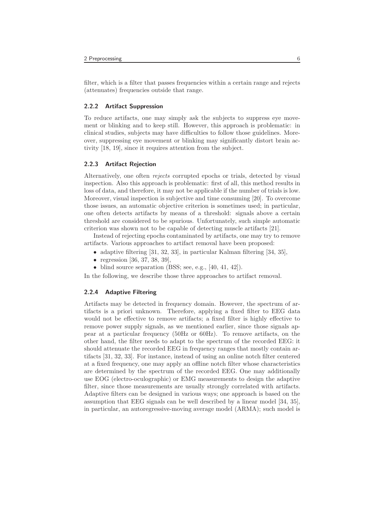filter, which is a filter that passes frequencies within a certain range and rejects (attenuates) frequencies outside that range.

### 2.2.2 Artifact Suppression

To reduce artifacts, one may simply ask the subjects to suppress eye movement or blinking and to keep still. However, this approach is problematic: in clinical studies, subjects may have difficulties to follow those guidelines. Moreover, suppressing eye movement or blinking may significantly distort brain activity [18, 19], since it requires attention from the subject.

#### 2.2.3 Artifact Rejection

Alternatively, one often rejects corrupted epochs or trials, detected by visual inspection. Also this approach is problematic: first of all, this method results in loss of data, and therefore, it may not be applicable if the number of trials is low. Moreover, visual inspection is subjective and time consuming [20]. To overcome those issues, an automatic objective criterion is sometimes used; in particular, one often detects artifacts by means of a threshold: signals above a certain threshold are considered to be spurious. Unfortunately, such simple automatic criterion was shown not to be capable of detecting muscle artifacts [21].

Instead of rejecting epochs contaminated by artifacts, one may try to remove artifacts. Various approaches to artifact removal have been proposed:

- adaptive filtering [31, 32, 33], in particular Kalman filtering [34, 35],
- regression [36, 37, 38, 39],
- blind source separation  $(BSS; see, e.g., [40, 41, 42]).$

In the following, we describe those three approaches to artifact removal.

#### 2.2.4 Adaptive Filtering

Artifacts may be detected in frequency domain. However, the spectrum of artifacts is a priori unknown. Therefore, applying a fixed filter to EEG data would not be effective to remove artifacts; a fixed filter is highly effective to remove power supply signals, as we mentioned earlier, since those signals appear at a particular frequency (50Hz or 60Hz). To remove artifacts, on the other hand, the filter needs to adapt to the spectrum of the recorded EEG: it should attenuate the recorded EEG in frequency ranges that mostly contain artifacts [31, 32, 33]. For instance, instead of using an online notch filter centered at a fixed frequency, one may apply an offline notch filter whose characteristics are determined by the spectrum of the recorded EEG. One may additionally use EOG (electro-oculographic) or EMG measurements to design the adaptive filter, since those measurements are usually strongly correlated with artifacts. Adaptive filters can be designed in various ways; one approach is based on the assumption that EEG signals can be well described by a linear model [34, 35], in particular, an autoregressive-moving average model (ARMA); such model is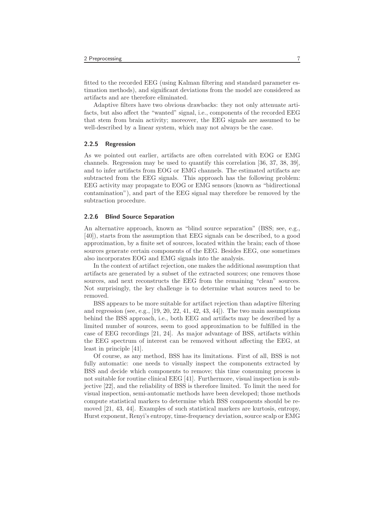fitted to the recorded EEG (using Kalman filtering and standard parameter estimation methods), and significant deviations from the model are considered as artifacts and are therefore eliminated.

Adaptive filters have two obvious drawbacks: they not only attenuate artifacts, but also affect the "wanted" signal, i.e., components of the recorded EEG that stem from brain activity; moreover, the EEG signals are assumed to be well-described by a linear system, which may not always be the case.

#### 2.2.5 Regression

As we pointed out earlier, artifacts are often correlated with EOG or EMG channels. Regression may be used to quantify this correlation [36, 37, 38, 39], and to infer artifacts from EOG or EMG channels. The estimated artifacts are subtracted from the EEG signals. This approach has the following problem: EEG activity may propagate to EOG or EMG sensors (known as "bidirectional contamination"), and part of the EEG signal may therefore be removed by the subtraction procedure.

#### 2.2.6 Blind Source Separation

An alternative approach, known as "blind source separation" (BSS; see, e.g., [40]), starts from the assumption that EEG signals can be described, to a good approximation, by a finite set of sources, located within the brain; each of those sources generate certain components of the EEG. Besides EEG, one sometimes also incorporates EOG and EMG signals into the analysis.

In the context of artifact rejection, one makes the additional assumption that artifacts are generated by a subset of the extracted sources; one removes those sources, and next reconstructs the EEG from the remaining "clean" sources. Not surprisingly, the key challenge is to determine what sources need to be removed.

BSS appears to be more suitable for artifact rejection than adaptive filtering and regression (see, e.g.,  $[19, 20, 22, 41, 42, 43, 44]$ ). The two main assumptions behind the BSS approach, i.e., both EEG and artifacts may be described by a limited number of sources, seem to good approximation to be fulfilled in the case of EEG recordings [21, 24]. As major advantage of BSS, artifacts within the EEG spectrum of interest can be removed without affecting the EEG, at least in principle [41].

Of course, as any method, BSS has its limitations. First of all, BSS is not fully automatic: one needs to visually inspect the components extracted by BSS and decide which components to remove; this time consuming process is not suitable for routine clinical EEG [41]. Furthermore, visual inspection is subjective [22], and the reliability of BSS is therefore limited. To limit the need for visual inspection, semi-automatic methods have been developed; those methods compute statistical markers to determine which BSS components should be removed [21, 43, 44]. Examples of such statistical markers are kurtosis, entropy, Hurst exponent, Renyi's entropy, time-frequency deviation, source scalp or EMG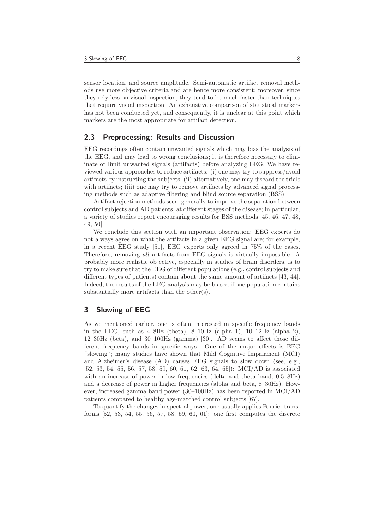sensor location, and source amplitude. Semi-automatic artifact removal methods use more objective criteria and are hence more consistent; moreover, since they rely less on visual inspection, they tend to be much faster than techniques that require visual inspection. An exhaustive comparison of statistical markers has not been conducted yet, and consequently, it is unclear at this point which markers are the most appropriate for artifact detection.

### 2.3 Preprocessing: Results and Discussion

EEG recordings often contain unwanted signals which may bias the analysis of the EEG, and may lead to wrong conclusions; it is therefore necessary to eliminate or limit unwanted signals (artifacts) before analyzing EEG. We have reviewed various approaches to reduce artifacts: (i) one may try to suppress/avoid artifacts by instructing the subjects; (ii) alternatively, one may discard the trials with artifacts; (iii) one may try to remove artifacts by advanced signal processing methods such as adaptive filtering and blind source separation (BSS).

Artifact rejection methods seem generally to improve the separation between control subjects and AD patients, at different stages of the disease; in particular, a variety of studies report encouraging results for BSS methods [45, 46, 47, 48, 49, 50].

We conclude this section with an important observation: EEG experts do not always agree on what the artifacts in a given EEG signal are; for example, in a recent EEG study [51], EEG experts only agreed in 75% of the cases. Therefore, removing all artifacts from EEG signals is virtually impossible. A probably more realistic objective, especially in studies of brain disorders, is to try to make sure that the EEG of different populations (e.g., control subjects and different types of patients) contain about the same amount of artifacts [43, 44]. Indeed, the results of the EEG analysis may be biased if one population contains substantially more artifacts than the other(s).

# 3 Slowing of EEG

As we mentioned earlier, one is often interested in specific frequency bands in the EEG, such as  $4-8\text{Hz}$  (theta),  $8-10\text{Hz}$  (alpha 1),  $10-12\text{Hz}$  (alpha 2), 12–30Hz (beta), and 30–100Hz (gamma) [30]. AD seems to affect those different frequency bands in specific ways. One of the major effects is EEG "slowing"; many studies have shown that Mild Cognitive Impairment (MCI) and Alzheimer's disease (AD) causes EEG signals to slow down (see, e.g., [52, 53, 54, 55, 56, 57, 58, 59, 60, 61, 62, 63, 64, 65]): MCI/AD is associated with an increase of power in low frequencies (delta and theta band,  $0.5-8\text{Hz}$ ) and a decrease of power in higher frequencies (alpha and beta, 8–30Hz). However, increased gamma band power (30–100Hz) has been reported in MCI/AD patients compared to healthy age-matched control subjects [67].

To quantify the changes in spectral power, one usually applies Fourier transforms [52, 53, 54, 55, 56, 57, 58, 59, 60, 61]: one first computes the discrete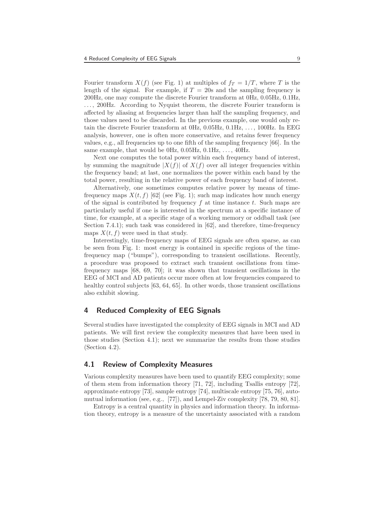Fourier transform  $X(f)$  (see Fig. 1) at multiples of  $f_T = 1/T$ , where T is the length of the signal. For example, if  $T = 20s$  and the sampling frequency is 200Hz, one may compute the discrete Fourier transform at 0Hz, 0.05Hz, 0.1Hz, ..., 200Hz. According to Nyquist theorem, the discrete Fourier transform is affected by aliasing at frequencies larger than half the sampling frequency, and those values need to be discarded. In the previous example, one would only retain the discrete Fourier transform at 0Hz, 0.05Hz, 0.1Hz, . . . , 100Hz. In EEG analysis, however, one is often more conservative, and retains fewer frequency values, e.g., all frequencies up to one fifth of the sampling frequency [66]. In the same example, that would be  $0Hz$ ,  $0.05Hz$ ,  $0.1Hz$ ,  $\dots$ ,  $40Hz$ .

Next one computes the total power within each frequency band of interest, by summing the magnitude  $|X(f)|$  of  $X(f)$  over all integer frequencies within the frequency band; at last, one normalizes the power within each band by the total power, resulting in the relative power of each frequency band of interest.

Alternatively, one sometimes computes relative power by means of timefrequency maps  $X(t, f)$  [62] (see Fig. 1); such map indicates how much energy of the signal is contributed by frequency  $f$  at time instance  $t$ . Such maps are particularly useful if one is interested in the spectrum at a specific instance of time, for example, at a specific stage of a working memory or oddball task (see Section 7.4.1); such task was considered in [62], and therefore, time-frequency maps  $X(t, f)$  were used in that study.

Interestingly, time-frequency maps of EEG signals are often sparse, as can be seen from Fig. 1: most energy is contained in specific regions of the timefrequency map ("bumps"), corresponding to transient oscillations. Recently, a procedure was proposed to extract such transient oscillations from timefrequency maps [68, 69, 70]; it was shown that transient oscillations in the EEG of MCI and AD patients occur more often at low frequencies compared to healthy control subjects [63, 64, 65]. In other words, those transient oscillations also exhibit slowing.

# 4 Reduced Complexity of EEG Signals

Several studies have investigated the complexity of EEG signals in MCI and AD patients. We will first review the complexity measures that have been used in those studies (Section 4.1); next we summarize the results from those studies (Section 4.2).

## 4.1 Review of Complexity Measures

Various complexity measures have been used to quantify EEG complexity; some of them stem from information theory [71, 72], including Tsallis entropy [72], approximate entropy [73], sample entropy [74], multiscale entropy [75, 76], automutual information (see, e.g., [77]), and Lempel-Ziv complexity [78, 79, 80, 81].

Entropy is a central quantity in physics and information theory. In information theory, entropy is a measure of the uncertainty associated with a random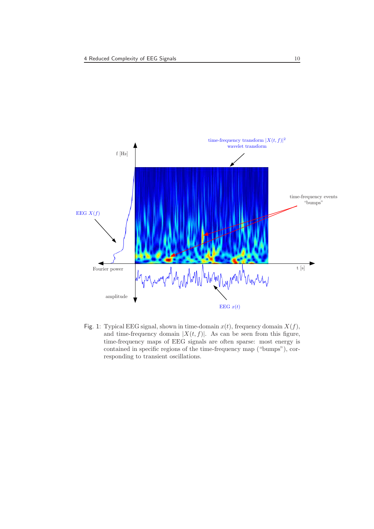

Fig. 1: Typical EEG signal, shown in time-domain  $x(t)$ , frequency domain  $X(f)$ , and time-frequency domain  $|X(t, f)|$ . As can be seen from this figure, time-frequency maps of EEG signals are often sparse: most energy is contained in specific regions of the time-frequency map ("bumps"), corresponding to transient oscillations.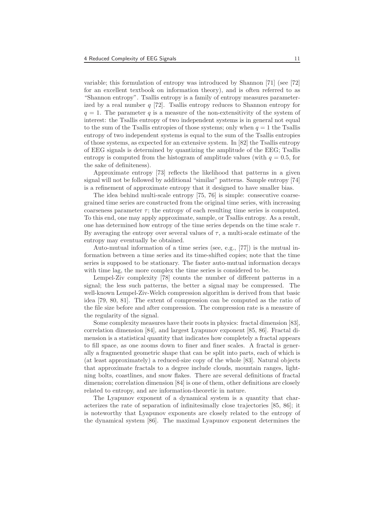variable; this formulation of entropy was introduced by Shannon [71] (see [72] for an excellent textbook on information theory), and is often referred to as "Shannon entropy". Tsallis entropy is a family of entropy measures parameterized by a real number  $q$  [72]. Tsallis entropy reduces to Shannon entropy for  $q = 1$ . The parameter q is a measure of the non-extensitivity of the system of interest: the Tsallis entropy of two independent systems is in general not equal to the sum of the Tsallis entropies of those systems; only when  $q = 1$  the Tsallis entropy of two independent systems is equal to the sum of the Tsallis entropies of those systems, as expected for an extensive system. In [82] the Tsallis entropy of EEG signals is determined by quantizing the amplitude of the EEG; Tsallis entropy is computed from the histogram of amplitude values (with  $q = 0.5$ , for the sake of definiteness).

Approximate entropy [73] reflects the likelihood that patterns in a given signal will not be followed by additional "similar" patterns. Sample entropy [74] is a refinement of approximate entropy that it designed to have smaller bias.

The idea behind multi-scale entropy [75, 76] is simple: consecutive coarsegrained time series are constructed from the original time series, with increasing coarseness parameter  $\tau$ ; the entropy of each resulting time series is computed. To this end, one may apply approximate, sample, or Tsallis entropy. As a result, one has determined how entropy of the time series depends on the time scale  $\tau$ . By averaging the entropy over several values of  $\tau$ , a multi-scale estimate of the entropy may eventually be obtained.

Auto-mutual information of a time series (see, e.g., [77]) is the mutual information between a time series and its time-shifted copies; note that the time series is supposed to be stationary. The faster auto-mutual information decays with time lag, the more complex the time series is considered to be.

Lempel-Ziv complexity [78] counts the number of different patterns in a signal; the less such patterns, the better a signal may be compressed. The well-known Lempel-Ziv-Welch compression algorithm is derived from that basic idea [79, 80, 81]. The extent of compression can be computed as the ratio of the file size before and after compression. The compression rate is a measure of the regularity of the signal.

Some complexity measures have their roots in physics: fractal dimension [83], correlation dimension [84], and largest Lyapunov exponent [85, 86]. Fractal dimension is a statistical quantity that indicates how completely a fractal appears to fill space, as one zooms down to finer and finer scales. A fractal is generally a fragmented geometric shape that can be split into parts, each of which is (at least approximately) a reduced-size copy of the whole [83]. Natural objects that approximate fractals to a degree include clouds, mountain ranges, lightning bolts, coastlines, and snow flakes. There are several definitions of fractal dimension; correlation dimension [84] is one of them, other definitions are closely related to entropy, and are information-theoretic in nature.

The Lyapunov exponent of a dynamical system is a quantity that characterizes the rate of separation of infinitesimally close trajectories [85, 86]; it is noteworthy that Lyapunov exponents are closely related to the entropy of the dynamical system [86]. The maximal Lyapunov exponent determines the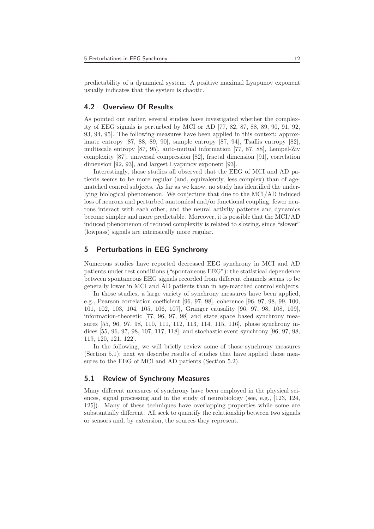predictability of a dynamical system. A positive maximal Lyapunov exponent usually indicates that the system is chaotic.

### 4.2 Overview Of Results

As pointed out earlier, several studies have investigated whether the complexity of EEG signals is perturbed by MCI or AD [77, 82, 87, 88, 89, 90, 91, 92, 93, 94, 95]. The following measures have been applied in this context: approximate entropy [87, 88, 89, 90], sample entropy [87, 94], Tsallis entropy [82], multiscale entropy [87, 95], auto-mutual information [77, 87, 88], Lempel-Ziv complexity [87], universal compression [82], fractal dimension [91], correlation dimension [92, 93], and largest Lyapunov exponent [93].

Interestingly, those studies all observed that the EEG of MCI and AD patients seems to be more regular (and, equivalently, less complex) than of agematched control subjects. As far as we know, no study has identified the underlying biological phenomenon. We conjecture that due to the MCI/AD induced loss of neurons and perturbed anatomical and/or functional coupling, fewer neurons interact with each other, and the neural activity patterns and dynamics become simpler and more predictable. Moreover, it is possible that the MCI/AD induced phenomenon of reduced complexity is related to slowing, since "slower" (lowpass) signals are intrinsically more regular.

# 5 Perturbations in EEG Synchrony

Numerous studies have reported decreased EEG synchrony in MCI and AD patients under rest conditions ("spontaneous EEG"): the statistical dependence between spontaneous EEG signals recorded from different channels seems to be generally lower in MCI and AD patients than in age-matched control subjects.

In those studies, a large variety of synchrony measures have been applied, e.g., Pearson correlation coefficient [96, 97, 98], coherence [96, 97, 98, 99, 100, 101, 102, 103, 104, 105, 106, 107], Granger causality [96, 97, 98, 108, 109], information-theoretic [77, 96, 97, 98] and state space based synchrony measures [55, 96, 97, 98, 110, 111, 112, 113, 114, 115, 116], phase synchrony indices [55, 96, 97, 98, 107, 117, 118], and stochastic event synchrony [96, 97, 98, 119, 120, 121, 122].

In the following, we will briefly review some of those synchrony measures (Section 5.1); next we describe results of studies that have applied those measures to the EEG of MCI and AD patients (Section 5.2).

# 5.1 Review of Synchrony Measures

Many different measures of synchrony have been employed in the physical sciences, signal processing and in the study of neurobiology (see, e.g., [123, 124, 125]). Many of these techniques have overlapping properties while some are substantially different. All seek to quantify the relationship between two signals or sensors and, by extension, the sources they represent.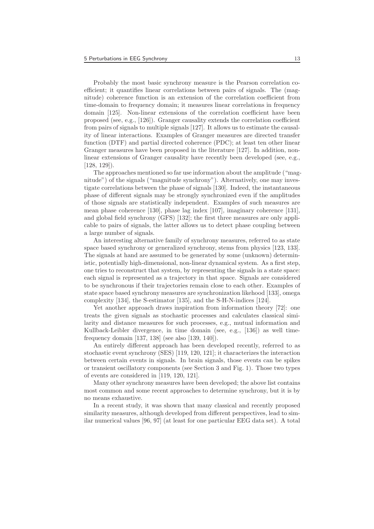Probably the most basic synchrony measure is the Pearson correlation coefficient; it quantifies linear correlations between pairs of signals. The (magnitude) coherence function is an extension of the correlation coefficient from time-domain to frequency domain; it measures linear correlations in frequency domain [125]. Non-linear extensions of the correlation coefficient have been proposed (see, e.g., [126]). Granger causality extends the correlation coefficient from pairs of signals to multiple signals [127]. It allows us to estimate the causality of linear interactions. Examples of Granger measures are directed transfer function (DTF) and partial directed coherence (PDC); at least ten other linear Granger measures have been proposed in the literature [127]. In addition, nonlinear extensions of Granger causality have recently been developed (see, e.g., [128, 129]).

The approaches mentioned so far use information about the amplitude ("magnitude") of the signals ("magnitude synchrony"). Alternatively, one may investigate correlations between the phase of signals [130]. Indeed, the instantaneous phase of different signals may be strongly synchronized even if the amplitudes of those signals are statistically independent. Examples of such measures are mean phase coherence [130], phase lag index [107], imaginary coherence [131], and global field synchrony (GFS) [132]; the first three measures are only applicable to pairs of signals, the latter allows us to detect phase coupling between a large number of signals.

An interesting alternative family of synchrony measures, referred to as state space based synchrony or generalized synchrony, stems from physics [123, 133]. The signals at hand are assumed to be generated by some (unknown) deterministic, potentially high-dimensional, non-linear dynamical system. As a first step, one tries to reconstruct that system, by representing the signals in a state space: each signal is represented as a trajectory in that space. Signals are considered to be synchronous if their trajectories remain close to each other. Examples of state space based synchrony measures are synchronization likehood [133], omega complexity [134], the S-estimator [135], and the S-H-N-indices [124].

Yet another approach draws inspiration from information theory [72]: one treats the given signals as stochastic processes and calculates classical similarity and distance measures for such processes, e.g., mutual information and Kullback-Leibler divergence, in time domain (see, e.g., [136]) as well timefrequency domain [137, 138] (see also [139, 140]).

An entirely different approach has been developed recently, referred to as stochastic event synchrony (SES) [119, 120, 121]; it characterizes the interaction between certain events in signals. In brain signals, those events can be spikes or transient oscillatory components (see Section 3 and Fig. 1). Those two types of events are considered in [119, 120, 121].

Many other synchrony measures have been developed; the above list contains most common and some recent approaches to determine synchrony, but it is by no means exhaustive.

In a recent study, it was shown that many classical and recently proposed similarity measures, although developed from different perspectives, lead to similar numerical values [96, 97] (at least for one particular EEG data set). A total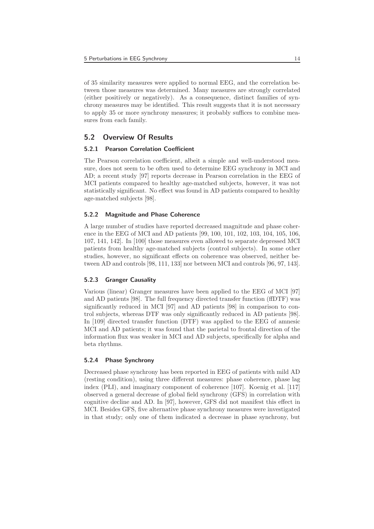of 35 similarity measures were applied to normal EEG, and the correlation between those measures was determined. Many measures are strongly correlated (either positively or negatively). As a consequence, distinct families of synchrony measures may be identified. This result suggests that it is not necessary to apply 35 or more synchrony measures; it probably suffices to combine measures from each family.

# 5.2 Overview Of Results

#### 5.2.1 Pearson Correlation Coefficient

The Pearson correlation coefficient, albeit a simple and well-understood measure, does not seem to be often used to determine EEG synchrony in MCI and AD; a recent study [97] reports decrease in Pearson correlation in the EEG of MCI patients compared to healthy age-matched subjects, however, it was not statistically significant. No effect was found in AD patients compared to healthy age-matched subjects [98].

#### 5.2.2 Magnitude and Phase Coherence

A large number of studies have reported decreased magnitude and phase coherence in the EEG of MCI and AD patients [99, 100, 101, 102, 103, 104, 105, 106, 107, 141, 142]. In [100] those measures even allowed to separate depressed MCI patients from healthy age-matched subjects (control subjects). In some other studies, however, no significant effects on coherence was observed, neither between AD and controls [98, 111, 133] nor between MCI and controls [96, 97, 143].

### 5.2.3 Granger Causality

Various (linear) Granger measures have been applied to the EEG of MCI [97] and AD patients [98]. The full frequency directed transfer function (ffDTF) was significantly reduced in MCI [97] and AD patients [98] in comparison to control subjects, whereas DTF was only significantly reduced in AD patients [98]. In [109] directed transfer function (DTF) was applied to the EEG of amnesic MCI and AD patients; it was found that the parietal to frontal direction of the information flux was weaker in MCI and AD subjects, specifically for alpha and beta rhythms.

# 5.2.4 Phase Synchrony

Decreased phase synchrony has been reported in EEG of patients with mild AD (resting condition), using three different measures: phase coherence, phase lag index (PLI), and imaginary component of coherence [107]. Koenig et al. [117] observed a general decrease of global field synchrony (GFS) in correlation with cognitive decline and AD. In [97], however, GFS did not manifest this effect in MCI. Besides GFS, five alternative phase synchrony measures were investigated in that study; only one of them indicated a decrease in phase synchrony, but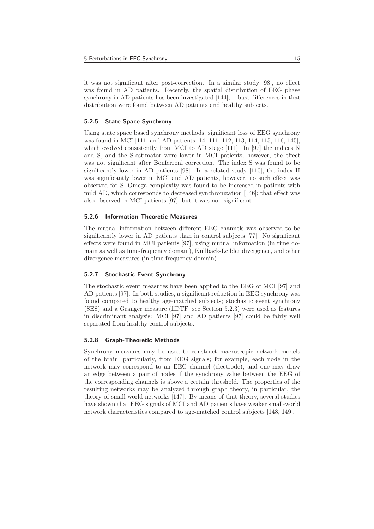it was not significant after post-correction. In a similar study [98], no effect was found in AD patients. Recently, the spatial distribution of EEG phase synchrony in AD patients has been investigated [144]; robust differences in that distribution were found between AD patients and healthy subjects.

#### 5.2.5 State Space Synchrony

Using state space based synchrony methods, significant loss of EEG synchrony was found in MCI [111] and AD patients [14, 111, 112, 113, 114, 115, 116, 145], which evolved consistently from MCI to AD stage [111]. In [97] the indices N and S, and the S-estimator were lower in MCI patients, however, the effect was not significant after Bonferroni correction. The index S was found to be significantly lower in AD patients [98]. In a related study [110], the index H was significantly lower in MCI and AD patients, however, no such effect was observed for S. Omega complexity was found to be increased in patients with mild AD, which corresponds to decreased synchronization [146]; that effect was also observed in MCI patients [97], but it was non-significant.

# 5.2.6 Information Theoretic Measures

The mutual information between different EEG channels was observed to be significantly lower in AD patients than in control subjects [77]. No significant effects were found in MCI patients [97], using mutual information (in time domain as well as time-frequency domain), Kullback-Leibler divergence, and other divergence measures (in time-frequency domain).

### 5.2.7 Stochastic Event Synchrony

The stochastic event measures have been applied to the EEG of MCI [97] and AD patients [97]. In both studies, a significant reduction in EEG synchrony was found compared to healthy age-matched subjects; stochastic event synchrony (SES) and a Granger measure (ffDTF; see Section 5.2.3) were used as features in discriminant analysis: MCI [97] and AD patients [97] could be fairly well separated from healthy control subjects.

#### 5.2.8 Graph-Theoretic Methods

Synchrony measures may be used to construct macroscopic network models of the brain, particularly, from EEG signals; for example, each node in the network may correspond to an EEG channel (electrode), and one may draw an edge between a pair of nodes if the synchrony value between the EEG of the corresponding channels is above a certain threshold. The properties of the resulting networks may be analyzed through graph theory, in particular, the theory of small-world networks [147]. By means of that theory, several studies have shown that EEG signals of MCI and AD patients have weaker small-world network characteristics compared to age-matched control subjects [148, 149].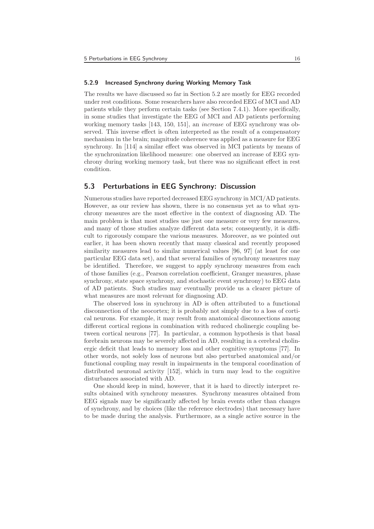#### 5.2.9 Increased Synchrony during Working Memory Task

The results we have discussed so far in Section 5.2 are mostly for EEG recorded under rest conditions. Some researchers have also recorded EEG of MCI and AD patients while they perform certain tasks (see Section 7.4.1). More specifically, in some studies that investigate the EEG of MCI and AD patients performing working memory tasks [143, 150, 151], an increase of EEG synchrony was observed. This inverse effect is often interpreted as the result of a compensatory mechanism in the brain; magnitude coherence was applied as a measure for EEG synchrony. In [114] a similar effect was observed in MCI patients by means of the synchronization likelihood measure: one observed an increase of EEG synchrony during working memory task, but there was no significant effect in rest condition.

# 5.3 Perturbations in EEG Synchrony: Discussion

Numerous studies have reported decreased EEG synchrony in MCI/AD patients. However, as our review has shown, there is no consensus yet as to what synchrony measures are the most effective in the context of diagnosing AD. The main problem is that most studies use just one measure or very few measures, and many of those studies analyze different data sets; consequently, it is difficult to rigorously compare the various measures. Moreover, as we pointed out earlier, it has been shown recently that many classical and recently proposed similarity measures lead to similar numerical values [96, 97] (at least for one particular EEG data set), and that several families of synchrony measures may be identified. Therefore, we suggest to apply synchrony measures from each of those families (e.g., Pearson correlation coefficient, Granger measures, phase synchrony, state space synchrony, and stochastic event synchrony) to EEG data of AD patients. Such studies may eventually provide us a clearer picture of what measures are most relevant for diagnosing AD.

The observed loss in synchrony in AD is often attributed to a functional disconnection of the neocortex; it is probably not simply due to a loss of cortical neurons. For example, it may result from anatomical disconnections among different cortical regions in combination with reduced cholinergic coupling between cortical neurons [77]. In particular, a common hypothesis is that basal forebrain neurons may be severely affected in AD, resulting in a cerebral cholinergic deficit that leads to memory loss and other cognitive symptoms [77]. In other words, not solely loss of neurons but also perturbed anatomical and/or functional coupling may result in impairments in the temporal coordination of distributed neuronal activity [152], which in turn may lead to the cognitive disturbances associated with AD.

One should keep in mind, however, that it is hard to directly interpret results obtained with synchrony measures. Synchrony measures obtained from EEG signals may be significantly affected by brain events other than changes of synchrony, and by choices (like the reference electrodes) that necessary have to be made during the analysis. Furthermore, as a single active source in the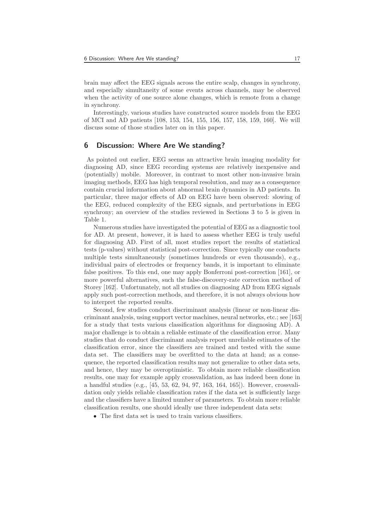brain may affect the EEG signals across the entire scalp, changes in synchrony, and especially simultaneity of some events across channels, may be observed when the activity of one source alone changes, which is remote from a change in synchrony.

Interestingly, various studies have constructed source models from the EEG of MCI and AD patients [108, 153, 154, 155, 156, 157, 158, 159, 160]. We will discuss some of those studies later on in this paper.

# 6 Discussion: Where Are We standing?

As pointed out earlier, EEG seems an attractive brain imaging modality for diagnosing AD, since EEG recording systems are relatively inexpensive and (potentially) mobile. Moreover, in contrast to most other non-invasive brain imaging methods, EEG has high temporal resolution, and may as a consequence contain crucial information about abnormal brain dynamics in AD patients. In particular, three major effects of AD on EEG have been observed: slowing of the EEG, reduced complexity of the EEG signals, and perturbations in EEG synchrony; an overview of the studies reviewed in Sections 3 to 5 is given in Table 1.

Numerous studies have investigated the potential of EEG as a diagnostic tool for AD. At present, however, it is hard to assess whether EEG is truly useful for diagnosing AD. First of all, most studies report the results of statistical tests (p-values) without statistical post-correction. Since typically one conducts multiple tests simultaneously (sometimes hundreds or even thousands), e.g., individual pairs of electrodes or frequency bands, it is important to eliminate false positives. To this end, one may apply Bonferroni post-correction [161], or more powerful alternatives, such the false-discovery-rate correction method of Storey [162]. Unfortunately, not all studies on diagnosing AD from EEG signals apply such post-correction methods, and therefore, it is not always obvious how to interpret the reported results.

Second, few studies conduct discriminant analysis (linear or non-linear discriminant analysis, using support vector machines, neural networks, etc.; see [163] for a study that tests various classification algorithms for diagnosing AD). A major challenge is to obtain a reliable estimate of the classification error. Many studies that do conduct discriminant analysis report unreliable estimates of the classification error, since the classifiers are trained and tested with the same data set. The classifiers may be overfitted to the data at hand; as a consequence, the reported classification results may not generalize to other data sets, and hence, they may be overoptimistic. To obtain more reliable classification results, one may for example apply crossvalidation, as has indeed been done in a handful studies (e.g., [45, 53, 62, 94, 97, 163, 164, 165]). However, crossvalidation only yields reliable classification rates if the data set is sufficiently large and the classifiers have a limited number of parameters. To obtain more reliable classification results, one should ideally use three independent data sets:

• The first data set is used to train various classifiers.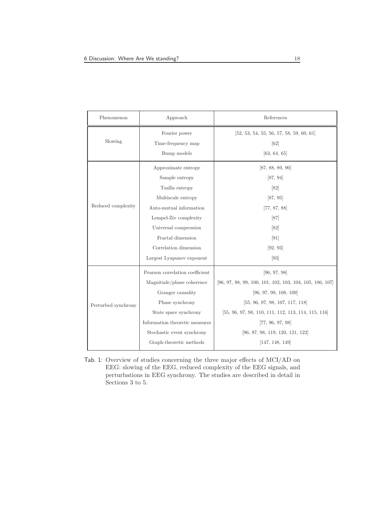| Phenomenon          | Approach                                                                                                                                                                                                                               | References                                                                                                                                                                                                                                                                  |
|---------------------|----------------------------------------------------------------------------------------------------------------------------------------------------------------------------------------------------------------------------------------|-----------------------------------------------------------------------------------------------------------------------------------------------------------------------------------------------------------------------------------------------------------------------------|
| Slowing             | Fourier power<br>Time-frequency map<br>Bump models                                                                                                                                                                                     | $[52, 53, 54, 55, 56, 57, 58, 59, 60, 61]$<br>[62]<br>[63, 64, 65]                                                                                                                                                                                                          |
| Reduced complexity  | Approximate entropy<br>Sample entropy<br>Tsallis entropy<br>Multiscale entropy<br>Auto-mutual information<br>Lempel-Ziv complexity<br>Universal compression<br>Fractal dimension<br>Correlation dimension<br>Largest Lyapunov exponent | [87, 88, 89, 90]<br>[87, 94]<br>[82]<br>[87, 95]<br>[77, 87, 88]<br>[87]<br>[82]<br>$\left[91\right]$<br>[92, 93]<br>[93]                                                                                                                                                   |
| Perturbed synchrony | Pearson correlation coefficient<br>Magnitude/phase coherence<br>Granger causality<br>Phase synchrony<br>State space synchrony<br>Information theoretic measures<br>Stochastic event synchrony<br>Graph-theoretic methods               | [96, 97, 98]<br>$[96, 97, 98, 99, 100, 101, 102, 103, 104, 105, 106, 107]$<br>[96, 97, 98, 108, 109]<br>[55, 96, 97, 98, 107, 117, 118]<br>$[55, 96, 97, 98, 110, 111, 112, 113, 114, 115, 116]$<br>[77, 96, 97, 98]<br>[96, 97, 98, 119, 120, 121, 122]<br>[147, 148, 149] |

Tab. 1: Overview of studies concerning the three major effects of MCI/AD on EEG: slowing of the EEG, reduced complexity of the EEG signals, and perturbations in EEG synchrony. The studies are described in detail in Sections 3 to 5.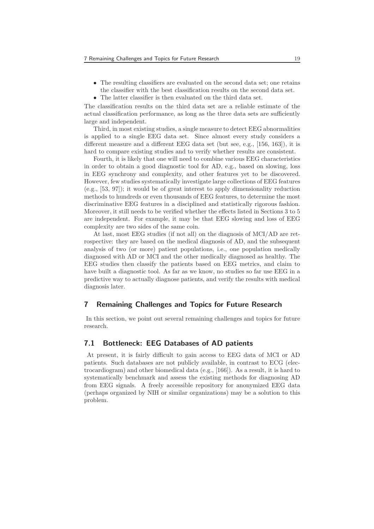- The resulting classifiers are evaluated on the second data set; one retains the classifier with the best classification results on the second data set.
- The latter classifier is then evaluated on the third data set.

The classification results on the third data set are a reliable estimate of the actual classification performance, as long as the three data sets are sufficiently large and independent.

Third, in most existing studies, a single measure to detect EEG abnormalities is applied to a single EEG data set. Since almost every study considers a different measure and a different EEG data set (but see, e.g., [156, 163]), it is hard to compare existing studies and to verify whether results are consistent.

Fourth, it is likely that one will need to combine various EEG characteristics in order to obtain a good diagnostic tool for AD, e.g., based on slowing, loss in EEG synchrony and complexity, and other features yet to be discovered. However, few studies systematically investigate large collections of EEG features (e.g., [53, 97]); it would be of great interest to apply dimensionality reduction methods to hundreds or even thousands of EEG features, to determine the most discriminative EEG features in a disciplined and statistically rigorous fashion. Moreover, it still needs to be verified whether the effects listed in Sections 3 to 5 are independent. For example, it may be that EEG slowing and loss of EEG complexity are two sides of the same coin.

At last, most EEG studies (if not all) on the diagnosis of MCI/AD are retrospective: they are based on the medical diagnosis of AD, and the subsequent analysis of two (or more) patient populations, i.e., one population medically diagnosed with AD or MCI and the other medically diagnosed as healthy. The EEG studies then classify the patients based on EEG metrics, and claim to have built a diagnostic tool. As far as we know, no studies so far use EEG in a predictive way to actually diagnose patients, and verify the results with medical diagnosis later.

# 7 Remaining Challenges and Topics for Future Research

In this section, we point out several remaining challenges and topics for future research.

# 7.1 Bottleneck: EEG Databases of AD patients

At present, it is fairly difficult to gain access to EEG data of MCI or AD patients. Such databases are not publicly available, in contrast to ECG (electrocardiogram) and other biomedical data (e.g., [166]). As a result, it is hard to systematically benchmark and assess the existing methods for diagnosing AD from EEG signals. A freely accessible repository for anonymized EEG data (perhaps organized by NIH or similar organizations) may be a solution to this problem.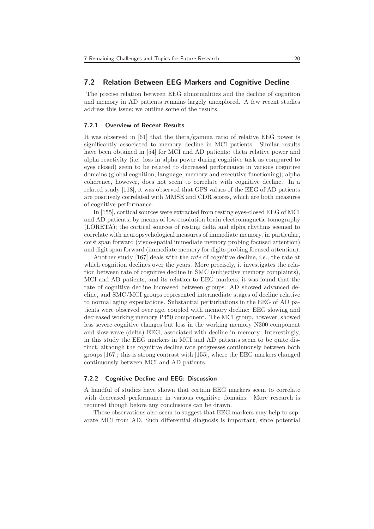# 7.2 Relation Between EEG Markers and Cognitive Decline

The precise relation between EEG abnormalities and the decline of cognition and memory in AD patients remains largely unexplored. A few recent studies address this issue; we outline some of the results.

### 7.2.1 Overview of Recent Results

It was observed in [61] that the theta/gamma ratio of relative EEG power is significantly associated to memory decline in MCI patients. Similar results have been obtained in [54] for MCI and AD patients: theta relative power and alpha reactivity (i.e. loss in alpha power during cognitive task as compared to eyes closed) seem to be related to decreased performance in various cognitive domains (global cognition, language, memory and executive functioning); alpha coherence, however, does not seem to correlate with cognitive decline. In a related study [118], it was observed that GFS values of the EEG of AD patients are positively correlated with MMSE and CDR scores, which are both measures of cognitive performance.

In [155], cortical sources were extracted from resting eyes-closed EEG of MCI and AD patients, by means of low-resolution brain electromagnetic tomography (LORETA); the cortical sources of resting delta and alpha rhythms seemed to correlate with neuropsychological measures of immediate memory, in particular, corsi span forward (visuo-spatial immediate memory probing focused attention) and digit span forward (immediate memory for digits probing focused attention).

Another study [167] deals with the rate of cognitive decline, i.e., the rate at which cognition declines over the years. More precisely, it investigates the relation between rate of cognitive decline in SMC (subjective memory complaints), MCI and AD patients, and its relation to EEG markers; it was found that the rate of cognitive decline increased between groups: AD showed advanced decline, and SMC/MCI groups represented intermediate stages of decline relative to normal aging expectations. Substantial perturbations in the EEG of AD patients were observed over age, coupled with memory decline: EEG slowing and decreased working memory P450 component. The MCI group, however, showed less severe cognitive changes but loss in the working memory N300 component and slow-wave (delta) EEG, associated with decline in memory. Interestingly, in this study the EEG markers in MCI and AD patients seem to be quite distinct, although the cognitive decline rate progresses continuously between both groups [167]; this is strong contrast with [155], where the EEG markers changed continuously between MCI and AD patients.

#### 7.2.2 Cognitive Decline and EEG: Discussion

A handful of studies have shown that certain EEG markers seem to correlate with decreased performance in various cognitive domains. More research is required though before any conclusions can be drawn.

Those observations also seem to suggest that EEG markers may help to separate MCI from AD. Such differential diagnosis is important, since potential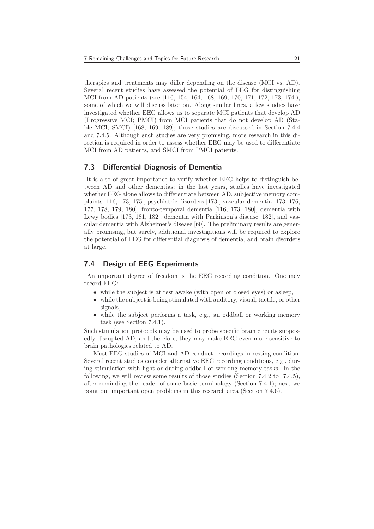therapies and treatments may differ depending on the disease (MCI vs. AD). Several recent studies have assessed the potential of EEG for distinguishing MCI from AD patients (see [116, 154, 164, 168, 169, 170, 171, 172, 173, 174]), some of which we will discuss later on. Along similar lines, a few studies have investigated whether EEG allows us to separate MCI patients that develop AD (Progressive MCI; PMCI) from MCI patients that do not develop AD (Stable MCI; SMCI) [168, 169, 189]; those studies are discussed in Section 7.4.4 and 7.4.5. Although such studies are very promising, more research in this direction is required in order to assess whether EEG may be used to differentiate MCI from AD patients, and SMCI from PMCI patients.

# 7.3 Differential Diagnosis of Dementia

It is also of great importance to verify whether EEG helps to distinguish between AD and other dementias; in the last years, studies have investigated whether EEG alone allows to differentiate between AD, subjective memory complaints [116, 173, 175], psychiatric disorders [173], vascular dementia [173, 176, 177, 178, 179, 180], fronto-temporal dementia [116, 173, 180], dementia with Lewy bodies [173, 181, 182], dementia with Parkinson's disease [182], and vascular dementia with Alzheimer's disease [60]. The preliminary results are generally promising, but surely, additional investigations will be required to explore the potential of EEG for differential diagnosis of dementia, and brain disorders at large.

# 7.4 Design of EEG Experiments

An important degree of freedom is the EEG recording condition. One may record EEG:

- while the subject is at rest awake (with open or closed eyes) or asleep,
- while the subject is being stimulated with auditory, visual, tactile, or other signals,
- while the subject performs a task, e.g., an oddball or working memory task (see Section 7.4.1).

Such stimulation protocols may be used to probe specific brain circuits supposedly disrupted AD, and therefore, they may make EEG even more sensitive to brain pathologies related to AD.

Most EEG studies of MCI and AD conduct recordings in resting condition. Several recent studies consider alternative EEG recording conditions, e.g., during stimulation with light or during oddball or working memory tasks. In the following, we will review some results of those studies (Section 7.4.2 to 7.4.5), after reminding the reader of some basic terminology (Section 7.4.1); next we point out important open problems in this research area (Section 7.4.6).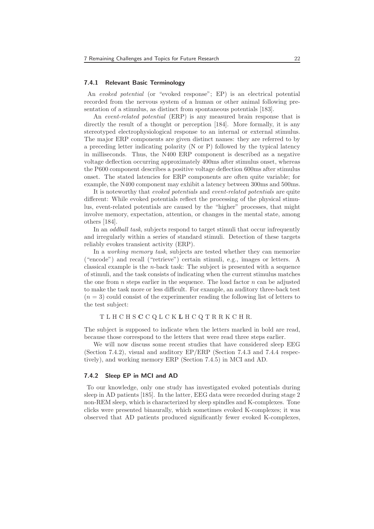#### 7.4.1 Relevant Basic Terminology

An evoked potential (or "evoked response"; EP) is an electrical potential recorded from the nervous system of a human or other animal following presentation of a stimulus, as distinct from spontaneous potentials [183].

An event-related potential (ERP) is any measured brain response that is directly the result of a thought or perception [184]. More formally, it is any stereotyped electrophysiological response to an internal or external stimulus. The major ERP components are given distinct names: they are referred to by a preceding letter indicating polarity (N or P) followed by the typical latency in milliseconds. Thus, the N400 ERP component is described as a negative voltage deflection occurring approximately 400ms after stimulus onset, whereas the P600 component describes a positive voltage deflection 600ms after stimulus onset. The stated latencies for ERP components are often quite variable; for example, the N400 component may exhibit a latency between 300ms and 500ms.

It is noteworthy that evoked potentials and event-related potentials are quite different: While evoked potentials reflect the processing of the physical stimulus, event-related potentials are caused by the "higher" processes, that might involve memory, expectation, attention, or changes in the mental state, among others [184].

In an *oddball task*, subjects respond to target stimuli that occur infrequently and irregularly within a series of standard stimuli. Detection of these targets reliably evokes transient activity (ERP).

In a *working memory task*, subjects are tested whether they can memorize ("encode") and recall ("retrieve") certain stimuli, e.g., images or letters. A classical example is the  $n$ -back task: The subject is presented with a sequence of stimuli, and the task consists of indicating when the current stimulus matches the one from  $n$  steps earlier in the sequence. The load factor  $n$  can be adjusted to make the task more or less difficult. For example, an auditory three-back test  $(n = 3)$  could consist of the experimenter reading the following list of letters to the test subject:

#### T L H C H S C C Q L C K L H C Q T R R K C H R.

The subject is supposed to indicate when the letters marked in bold are read, because those correspond to the letters that were read three steps earlier.

We will now discuss some recent studies that have considered sleep EEG (Section 7.4.2), visual and auditory  $EP/ERP$  (Section 7.4.3 and 7.4.4 respectively), and working memory ERP (Section 7.4.5) in MCI and AD.

### 7.4.2 Sleep EP in MCI and AD

To our knowledge, only one study has investigated evoked potentials during sleep in AD patients [185]. In the latter, EEG data were recorded during stage 2 non-REM sleep, which is characterized by sleep spindles and K-complexes. Tone clicks were presented binaurally, which sometimes evoked K-complexes; it was observed that AD patients produced significantly fewer evoked K-complexes,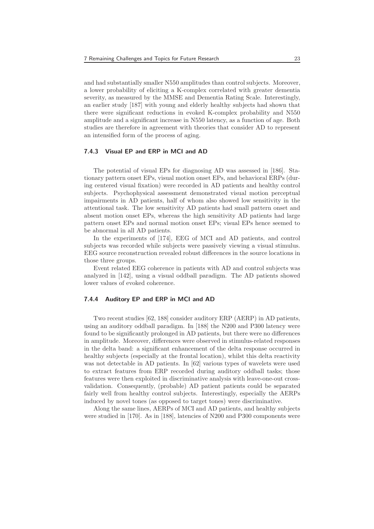and had substantially smaller N550 amplitudes than control subjects. Moreover, a lower probability of eliciting a K-complex correlated with greater dementia severity, as measured by the MMSE and Dementia Rating Scale. Interestingly, an earlier study [187] with young and elderly healthy subjects had shown that there were significant reductions in evoked K-complex probability and N550 amplitude and a significant increase in N550 latency, as a function of age. Both studies are therefore in agreement with theories that consider AD to represent an intensified form of the process of aging.

#### 7.4.3 Visual EP and ERP in MCI and AD

The potential of visual EPs for diagnosing AD was assessed in [186]. Stationary pattern onset EPs, visual motion onset EPs, and behavioral ERPs (during centered visual fixation) were recorded in AD patients and healthy control subjects. Psychophysical assessment demonstrated visual motion perceptual impairments in AD patients, half of whom also showed low sensitivity in the attentional task. The low sensitivity AD patients had small pattern onset and absent motion onset EPs, whereas the high sensitivity AD patients had large pattern onset EPs and normal motion onset EPs; visual EPs hence seemed to be abnormal in all AD patients.

In the experiments of [174], EEG of MCI and AD patients, and control subjects was recorded while subjects were passively viewing a visual stimulus. EEG source reconstruction revealed robust differences in the source locations in those three groups.

Event related EEG coherence in patients with AD and control subjects was analyzed in [142], using a visual oddball paradigm. The AD patients showed lower values of evoked coherence.

### 7.4.4 Auditory EP and ERP in MCI and AD

Two recent studies [62, 188] consider auditory ERP (AERP) in AD patients, using an auditory oddball paradigm. In [188] the N200 and P300 latency were found to be significantly prolonged in AD patients, but there were no differences in amplitude. Moreover, differences were observed in stimulus-related responses in the delta band: a significant enhancement of the delta response occurred in healthy subjects (especially at the frontal location), whilst this delta reactivity was not detectable in AD patients. In [62] various types of wavelets were used to extract features from ERP recorded during auditory oddball tasks; those features were then exploited in discriminative analysis with leave-one-out crossvalidation. Consequently, (probable) AD patient patients could be separated fairly well from healthy control subjects. Interestingly, especially the AERPs induced by novel tones (as opposed to target tones) were discriminative.

Along the same lines, AERPs of MCI and AD patients, and healthy subjects were studied in [170]. As in [188], latencies of N200 and P300 components were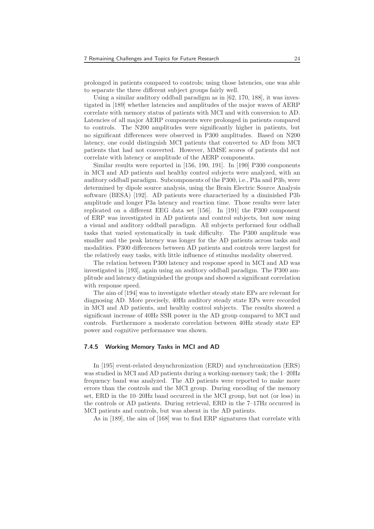prolonged in patients compared to controls; using those latencies, one was able to separate the three different subject groups fairly well.

Using a similar auditory oddball paradigm as in [62, 170, 188], it was investigated in [189] whether latencies and amplitudes of the major waves of AERP correlate with memory status of patients with MCI and with conversion to AD. Latencies of all major AERP components were prolonged in patients compared to controls. The N200 amplitudes were significantly higher in patients, but no significant differences were observed in P300 amplitudes. Based on N200 latency, one could distinguish MCI patients that converted to AD from MCI patients that had not converted. However, MMSE scores of patients did not correlate with latency or amplitude of the AERP components.

Similar results were reported in [156, 190, 191]. In [190] P300 components in MCI and AD patients and healthy control subjects were analyzed, with an auditory oddball paradigm. Subcomponents of the P300, i.e., P3a and P3b, were determined by dipole source analysis, using the Brain Electric Source Analysis software (BESA) [192]. AD patients were characterized by a diminished P3b amplitude and longer P3a latency and reaction time. Those results were later replicated on a different EEG data set [156]. In [191] the P300 component of ERP was investigated in AD patients and control subjects, but now using a visual and auditory oddball paradigm. All subjects performed four oddball tasks that varied systematically in task difficulty. The P300 amplitude was smaller and the peak latency was longer for the AD patients across tasks and modalities. P300 differences between AD patients and controls were largest for the relatively easy tasks, with little influence of stimulus modality observed.

The relation between P300 latency and response speed in MCI and AD was investigated in [193], again using an auditory oddball paradigm. The P300 amplitude and latency distinguished the groups and showed a significant correlation with response speed.

The aim of [194] was to investigate whether steady state EPs are relevant for diagnosing AD. More precisely, 40Hz auditory steady state EPs were recorded in MCI and AD patients, and healthy control subjects. The results showed a significant increase of 40Hz SSR power in the AD group compared to MCI and controls. Furthermore a moderate correlation between 40Hz steady state EP power and cognitive performance was shown.

### 7.4.5 Working Memory Tasks in MCI and AD

In [195] event-related desynchronization (ERD) and synchronization (ERS) was studied in MCI and AD patients during a working-memory task; the 1–20Hz frequency band was analyzed. The AD patients were reported to make more errors than the controls and the MCI group. During encoding of the memory set, ERD in the 10–20Hz band occurred in the MCI group, but not (or less) in the controls or AD patients. During retrieval, ERD in the 7–17Hz occurred in MCI patients and controls, but was absent in the AD patients.

As in [189], the aim of [168] was to find ERP signatures that correlate with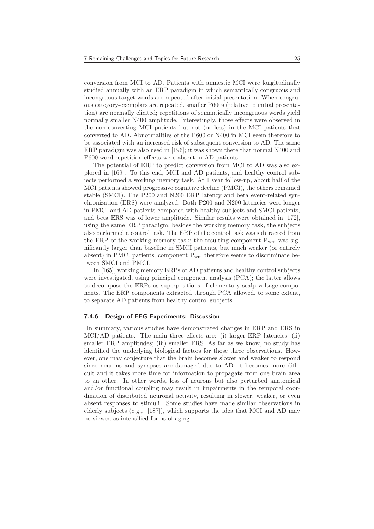conversion from MCI to AD. Patients with amnestic MCI were longitudinally studied annually with an ERP paradigm in which semantically congruous and incongruous target words are repeated after initial presentation. When congruous category-exemplars are repeated, smaller P600s (relative to initial presentation) are normally elicited; repetitions of semantically incongruous words yield normally smaller N400 amplitude. Interestingly, those effects were observed in the non-converting MCI patients but not (or less) in the MCI patients that converted to AD. Abnormalities of the P600 or N400 in MCI seem therefore to be associated with an increased risk of subsequent conversion to AD. The same ERP paradigm was also used in [196]; it was shown there that normal N400 and P600 word repetition effects were absent in AD patients.

The potential of ERP to predict conversion from MCI to AD was also explored in [169]. To this end, MCI and AD patients, and healthy control subjects performed a working memory task. At 1 year follow-up, about half of the MCI patients showed progressive cognitive decline (PMCI), the others remained stable (SMCI). The P200 and N200 ERP latency and beta event-related synchronization (ERS) were analyzed. Both P200 and N200 latencies were longer in PMCI and AD patients compared with healthy subjects and SMCI patients, and beta ERS was of lower amplitude. Similar results were obtained in [172], using the same ERP paradigm; besides the working memory task, the subjects also performed a control task. The ERP of the control task was subtracted from the ERP of the working memory task; the resulting component  $P_{wm}$  was significantly larger than baseline in SMCI patients, but much weaker (or entirely absent) in PMCI patients; component  $P_{wm}$  therefore seems to discriminate between SMCI and PMCI.

In [165], working memory ERPs of AD patients and healthy control subjects were investigated, using principal component analysis (PCA); the latter allows to decompose the ERPs as superpositions of elementary scalp voltage components. The ERP components extracted through PCA allowed, to some extent, to separate AD patients from healthy control subjects.

#### 7.4.6 Design of EEG Experiments: Discussion

In summary, various studies have demonstrated changes in ERP and ERS in MCI/AD patients. The main three effects are: (i) larger ERP latencies; (ii) smaller ERP amplitudes; (iii) smaller ERS. As far as we know, no study has identified the underlying biological factors for those three observations. However, one may conjecture that the brain becomes slower and weaker to respond since neurons and synapses are damaged due to AD: it becomes more difficult and it takes more time for information to propagate from one brain area to an other. In other words, loss of neurons but also perturbed anatomical and/or functional coupling may result in impairments in the temporal coordination of distributed neuronal activity, resulting in slower, weaker, or even absent responses to stimuli. Some studies have made similar observations in elderly subjects (e.g., [187]), which supports the idea that MCI and AD may be viewed as intensified forms of aging.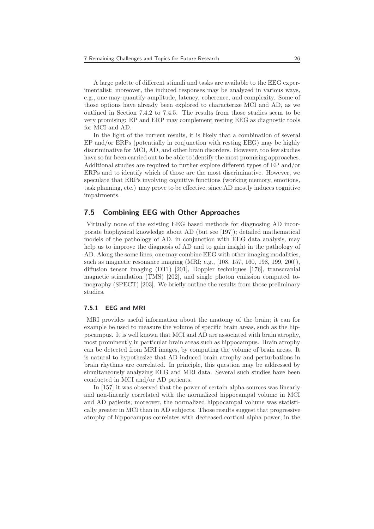A large palette of different stimuli and tasks are available to the EEG experimentalist; moreover, the induced responses may be analyzed in various ways, e.g., one may quantify amplitude, latency, coherence, and complexity. Some of those options have already been explored to characterize MCI and AD, as we outlined in Section 7.4.2 to 7.4.5. The results from those studies seem to be very promising: EP and ERP may complement resting EEG as diagnostic tools for MCI and AD.

In the light of the current results, it is likely that a combination of several EP and/or ERPs (potentially in conjunction with resting EEG) may be highly discriminative for MCI, AD, and other brain disorders. However, too few studies have so far been carried out to be able to identify the most promising approaches. Additional studies are required to further explore different types of EP and/or ERPs and to identify which of those are the most discriminative. However, we speculate that ERPs involving cognitive functions (working memory, emotions, task planning, etc.) may prove to be effective, since AD mostly induces cognitive impairments.

# 7.5 Combining EEG with Other Approaches

Virtually none of the existing EEG based methods for diagnosing AD incorporate biophysical knowledge about AD (but see [197]); detailed mathematical models of the pathology of AD, in conjunction with EEG data analysis, may help us to improve the diagnosis of AD and to gain insight in the pathology of AD. Along the same lines, one may combine EEG with other imaging modalities, such as magnetic resonance imaging (MRI; e.g., [108, 157, 160, 198, 199, 200]), diffusion tensor imaging (DTI) [201], Doppler techniques [176], transcranial magnetic stimulation (TMS) [202], and single photon emission computed tomography (SPECT) [203]. We briefly outline the results from those preliminary studies.

### 7.5.1 EEG and MRI

MRI provides useful information about the anatomy of the brain; it can for example be used to measure the volume of specific brain areas, such as the hippocampus. It is well known that MCI and AD are associated with brain atrophy, most prominently in particular brain areas such as hippocampus. Brain atrophy can be detected from MRI images, by computing the volume of brain areas. It is natural to hypothesize that AD induced brain atrophy and perturbations in brain rhythms are correlated. In principle, this question may be addressed by simultaneously analyzing EEG and MRI data. Several such studies have been conducted in MCI and/or AD patients.

In [157] it was observed that the power of certain alpha sources was linearly and non-linearly correlated with the normalized hippocampal volume in MCI and AD patients; moreover, the normalized hippocampal volume was statistically greater in MCI than in AD subjects. Those results suggest that progressive atrophy of hippocampus correlates with decreased cortical alpha power, in the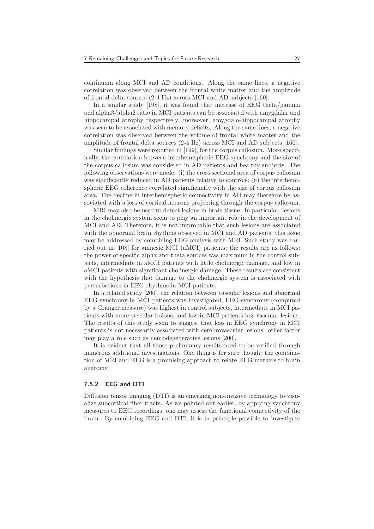continuum along MCI and AD conditions. Along the same lines, a negative correlation was observed between the frontal white matter and the amplitude of frontal delta sources (2-4 Hz) across MCI and AD subjects [160].

In a similar study [198], it was found that increase of EEG theta/gamma and alpha3/alpha2 ratio in MCI patients can be associated with amygdalar and hippocampal atrophy respectively; moreover, amygdalo-hippocampal atrophy was seen to be associated with memory deficits. Along the same lines, a negative correlation was observed between the volume of frontal white matter and the amplitude of frontal delta sources (2-4 Hz) across MCI and AD subjects [160].

Similar findings were reported in [199], for the corpus callosum. More specifically, the correlation between interhemispheric EEG synchrony and the size of the corpus callosum was considered in AD patients and healthy subjects. The following observations were made: (i) the cross sectional area of corpus callosum was significantly reduced in AD patients relative to controls; (ii) the interhemispheric EEG coherence correlated significantly with the size of corpus callosum area. The decline in interhemispheric connectivity in AD may therefore be associated with a loss of cortical neurons projecting through the corpus callosum.

MRI may also be used to detect lesions in brain tissue. In particular, lesions in the cholinergic system seem to play an important role in the development of MCI and AD. Therefore, it is not improbable that such lesions are associated with the abnormal brain rhythms observed in MCI and AD patients; this issue may be addressed by combining EEG analysis with MRI. Such study was carried out in [108] for amnesic MCI (aMCI) patients; the results are as follows: the power of specific alpha and theta sources was maximum in the control subjects, intermediate in aMCI patients with little cholinergic damage, and low in aMCI patients with significant cholinergic damage. These results are consistent with the hypothesis that damage to the cholinergic system is associated with perturbations in EEG rhythms in MCI patients.

In a related study [200], the relation between vascular lesions and abnormal EEG synchrony in MCI patients was investigated; EEG synchrony (computed by a Granger measure) was highest in control subjects, intermediate in MCI patients with more vascular lesions, and low in MCI patients less vascular lesions. The results of this study seem to suggest that loss in EEG synchrony in MCI patients is not necessarily associated with cerebrovascular lesions: other factor may play a role such as neurodegenerative lesions [200].

It is evident that all those preliminary results need to be verified through numerous additional investigations. One thing is for sure though: the combination of MRI and EEG is a promising approach to relate EEG markers to brain anatomy.

#### 7.5.2 EEG and DTI

Diffusion tensor imaging (DTI) is an emerging non-invasive technology to visualize subcortical fiber tracts. As we pointed out earlier, by applying synchrony measures to EEG recordings, one may assess the functional connectivity of the brain. By combining EEG and DTI, it is in principle possible to investigate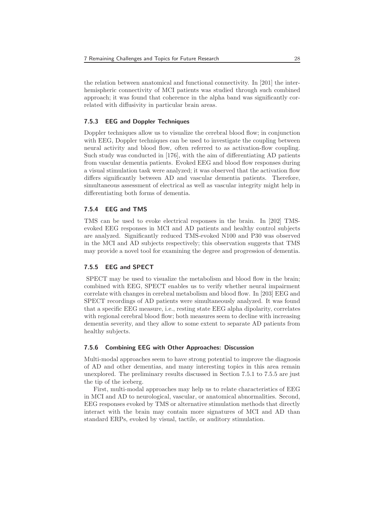the relation between anatomical and functional connectivity. In [201] the interhemispheric connectivity of MCI patients was studied through such combined approach; it was found that coherence in the alpha band was significantly correlated with diffusivity in particular brain areas.

### 7.5.3 EEG and Doppler Techniques

Doppler techniques allow us to visualize the cerebral blood flow; in conjunction with EEG, Doppler techniques can be used to investigate the coupling between neural activity and blood flow, often referred to as activation-flow coupling. Such study was conducted in [176], with the aim of differentiating AD patients from vascular dementia patients. Evoked EEG and blood flow responses during a visual stimulation task were analyzed; it was observed that the activation flow differs significantly between AD and vascular dementia patients. Therefore, simultaneous assessment of electrical as well as vascular integrity might help in differentiating both forms of dementia.

# 7.5.4 EEG and TMS

TMS can be used to evoke electrical responses in the brain. In [202] TMSevoked EEG responses in MCI and AD patients and healthy control subjects are analyzed. Significantly reduced TMS-evoked N100 and P30 was observed in the MCI and AD subjects respectively; this observation suggests that TMS may provide a novel tool for examining the degree and progression of dementia.

# 7.5.5 EEG and SPECT

SPECT may be used to visualize the metabolism and blood flow in the brain; combined with EEG, SPECT enables us to verify whether neural impairment correlate with changes in cerebral metabolism and blood flow. In [203] EEG and SPECT recordings of AD patients were simultaneously analyzed. It was found that a specific EEG measure, i.e., resting state EEG alpha dipolarity, correlates with regional cerebral blood flow; both measures seem to decline with increasing dementia severity, and they allow to some extent to separate AD patients from healthy subjects.

### 7.5.6 Combining EEG with Other Approaches: Discussion

Multi-modal approaches seem to have strong potential to improve the diagnosis of AD and other dementias, and many interesting topics in this area remain unexplored. The preliminary results discussed in Section 7.5.1 to 7.5.5 are just the tip of the iceberg.

First, multi-modal approaches may help us to relate characteristics of EEG in MCI and AD to neurological, vascular, or anatomical abnormalities. Second, EEG responses evoked by TMS or alternative stimulation methods that directly interact with the brain may contain more signatures of MCI and AD than standard ERPs, evoked by visual, tactile, or auditory stimulation.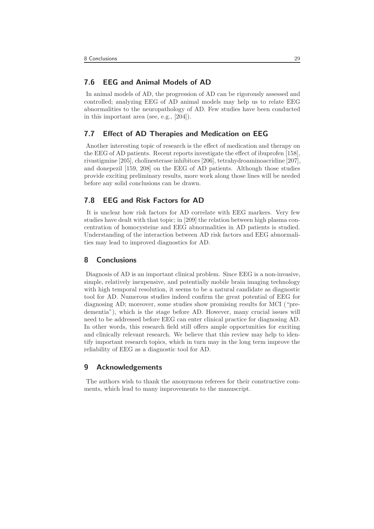# 7.6 EEG and Animal Models of AD

In animal models of AD, the progression of AD can be rigorously assessed and controlled; analyzing EEG of AD animal models may help us to relate EEG abnormalities to the neuropathology of AD. Few studies have been conducted in this important area (see, e.g., [204]).

# 7.7 Effect of AD Therapies and Medication on EEG

Another interesting topic of research is the effect of medication and therapy on the EEG of AD patients. Recent reports investigate the effect of ibuprofen [158], rivastigmine [205], cholinesterase inhibitors [206], tetrahydroaminoacridine [207], and donepezil [159, 208] on the EEG of AD patients. Although those studies provide exciting preliminary results, more work along those lines will be needed before any solid conclusions can be drawn.

# 7.8 EEG and Risk Factors for AD

It is unclear how risk factors for AD correlate with EEG markers. Very few studies have dealt with that topic; in [209] the relation between high plasma concentration of homocysteine and EEG abnormalities in AD patients is studied. Understanding of the interaction between AD risk factors and EEG abnormalities may lead to improved diagnostics for AD.

# 8 Conclusions

Diagnosis of AD is an important clinical problem. Since EEG is a non-invasive, simple, relatively inexpensive, and potentially mobile brain imaging technology with high temporal resolution, it seems to be a natural candidate as diagnostic tool for AD. Numerous studies indeed confirm the great potential of EEG for diagnosing AD; moreover, some studies show promising results for MCI ("predementia"), which is the stage before AD. However, many crucial issues will need to be addressed before EEG can enter clinical practice for diagnosing AD. In other words, this research field still offers ample opportunities for exciting and clinically relevant research. We believe that this review may help to identify important research topics, which in turn may in the long term improve the reliability of EEG as a diagnostic tool for AD.

# 9 Acknowledgements

The authors wish to thank the anonymous referees for their constructive comments, which lead to many improvements to the manuscript.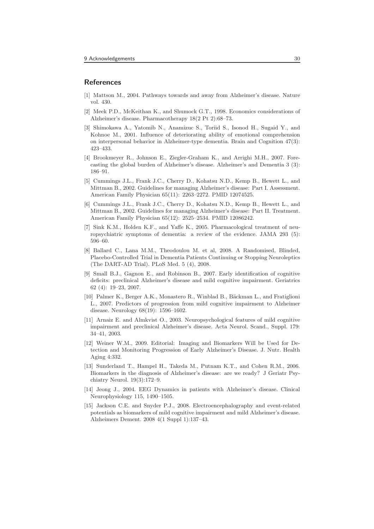# References

- [1] Mattson M., 2004. Pathways towards and away from Alzheimer's disease. Nature vol. 430.
- [2] Meek P.D., McKeithan K., and Shumock G.T., 1998. Economics considerations of Alzheimer's disease. Pharmacotherapy 18(2 Pt 2):68–73.
- [3] Shimokawa A., Yatomib N., Anamizuc S., Toriid S., Isonod H., Sugaid Y., and Kohnoe M., 2001. Influence of deteriorating ability of emotional comprehension on interpersonal behavior in Alzheimer-type dementia. Brain and Cognition 47(3): 423–433.
- [4] Brookmeyer R., Johnson E., Ziegler-Graham K., and Arrighi M.H., 2007. Forecasting the global burden of Alzheimer's disease. Alzheimer's and Dementia 3 (3): 186–91.
- [5] Cummings J.L., Frank J.C., Cherry D., Kohatsu N.D., Kemp B., Hewett L., and Mittman B., 2002. Guidelines for managing Alzheimer's disease: Part I. Assessment. American Family Physician 65(11): 2263–2272. PMID 12074525.
- [6] Cummings J.L., Frank J.C., Cherry D., Kohatsu N.D., Kemp B., Hewett L., and Mittman B., 2002. Guidelines for managing Alzheimer's disease: Part II. Treatment. American Family Physician 65(12): 2525–2534. PMID 12086242.
- [7] Sink K.M., Holden K.F., and Yaffe K., 2005. Pharmacological treatment of neuropsychiatric symptoms of dementia: a review of the evidence. JAMA 293 (5): 596–60.
- [8] Ballard C., Lana M.M., Theodoulou M. et al, 2008. A Randomised, Blinded, Placebo-Controlled Trial in Dementia Patients Continuing or Stopping Neuroleptics (The DART-AD Trial). PLoS Med. 5 (4), 2008.
- [9] Small B.J., Gagnon E., and Robinson B., 2007. Early identification of cognitive deficits: preclinical Alzheimer's disease and mild cognitive impairment. Geriatrics 62 (4): 19–23, 2007.
- [10] Palmer K., Berger A.K., Monastero R., Winblad B., Bäckman L., and Fratiglioni L., 2007. Predictors of progression from mild cognitive impairment to Alzheimer disease. Neurology 68(19): 1596–1602.
- [11] Arnaiz E. and Almkvist O., 2003. Neuropsychological features of mild cognitive impairment and preclinical Alzheimer's disease. Acta Neurol. Scand., Suppl. 179: 34–41, 2003.
- [12] Weiner W.M., 2009. Editorial: Imaging and Biomarkers Will be Used for Detection and Monitoring Progression of Early Alzheimer's Disease. J. Nutr. Health Aging 4:332.
- [13] Sunderland T., Hampel H., Takeda M., Putnam K.T., and Cohen R.M., 2006. Biomarkers in the diagnosis of Alzheimer's disease: are we ready? J Geriatr Psychiatry Neurol. 19(3):172–9.
- [14] Jeong J., 2004. EEG Dynamics in patients with Alzheimer's disease. Clinical Neurophysiology 115, 1490–1505.
- [15] Jackson C.E. and Snyder P.J., 2008. Electroencephalography and event-related potentials as biomarkers of mild cognitive impairment and mild Alzheimer's disease. Alzheimers Dement. 2008 4(1 Suppl 1):137–43.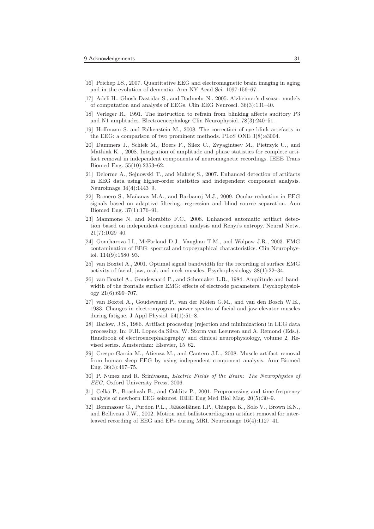- [16] Prichep LS., 2007. Quantitative EEG and electromagnetic brain imaging in aging and in the evolution of dementia. Ann NY Acad Sci. 1097:156–67.
- [17] Adeli H., Ghosh-Dastidar S., and Dadmehr N., 2005. Alzheimer's disease: models of computation and analysis of EEGs. Clin EEG Neurosci. 36(3):131–40.
- [18] Verleger R., 1991. The instruction to refrain from blinking affects auditory P3 and N1 amplitudes. Electroencephalogr Clin Neurophysiol. 78(3):240–51.
- [19] Hoffmann S. and Falkenstein M., 2008. The correction of eye blink artefacts in the EEG: a comparison of two prominent methods. PLoS ONE 3(8):e3004.
- [20] Dammers J., Schiek M., Boers F., Silex C., Zvyagintsev M., Pietrzyk U., and Mathiak K. , 2008. Integration of amplitude and phase statistics for complete artifact removal in independent components of neuromagnetic recordings. IEEE Trans Biomed Eng. 55(10):2353–62.
- [21] Delorme A., Sejnowski T., and Makeig S., 2007. Enhanced detection of artifacts in EEG data using higher-order statistics and independent component analysis. Neuroimage 34(4):1443–9.
- [22] Romero S., Ma˜nanas M.A., and Barbanoj M.J., 2009. Ocular reduction in EEG signals based on adaptive filtering, regression and blind source separation. Ann Biomed Eng. 37(1):176–91.
- [23] Mammone N. and Morabito F.C., 2008. Enhanced automatic artifact detection based on independent component analysis and Renyi's entropy. Neural Netw. 21(7):1029–40.
- [24] Goncharova I.I., McFarland D.J., Vaughan T.M., and Wolpaw J.R., 2003. EMG contamination of EEG: spectral and topographical characteristics. Clin Neurophysiol. 114(9):1580–93.
- [25] van Boxtel A., 2001. Optimal signal bandwidth for the recording of surface EMG activity of facial, jaw, oral, and neck muscles. Psychophysiology 38(1):22–34.
- [26] van Boxtel A., Goudswaard P., and Schomaker L.R., 1984. Amplitude and bandwidth of the frontalis surface EMG: effects of electrode parameters. Psychophysiology 21(6):699–707.
- [27] van Boxtel A., Goudswaard P., van der Molen G.M., and van den Bosch W.E., 1983. Changes in electromyogram power spectra of facial and jaw-elevator muscles during fatigue. J Appl Physiol. 54(1):51–8.
- [28] Barlow, J.S., 1986. Artifact processing (rejection and minimization) in EEG data processing. In: F.H. Lopes da Silva, W. Storm van Leeuwen and A. Remond (Eds.). Handbook of electroencephalography and clinical neurophysiology, volume 2. Revised series. Amsterdam: Elsevier, 15–62.
- [29] Crespo-Garcia M., Atienza M., and Cantero J.L., 2008. Muscle artifact removal from human sleep EEG by using independent component analysis. Ann Biomed Eng. 36(3):467–75.
- [30] P. Nunez and R. Srinivasan, Electric Fields of the Brain: The Neurophysics of EEG, Oxford University Press, 2006.
- [31] Celka P., Boashash B., and Colditz P., 2001. Preprocessing and time-frequency analysis of newborn EEG seizures. IEEE Eng Med Biol Mag. 20(5):30–9.
- [32] Bonmassar G., Purdon P.L., Jääskeläinen I.P., Chiappa K., Solo V., Brown E.N., and Belliveau J.W., 2002. Motion and ballistocardiogram artifact removal for interleaved recording of EEG and EPs during MRI. Neuroimage 16(4):1127–41.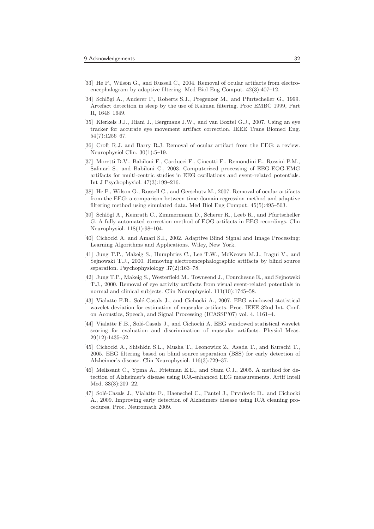- [33] He P., Wilson G., and Russell C., 2004. Removal of ocular artifacts from electroencephalogram by adaptive filtering. Med Biol Eng Comput. 42(3):407–12.
- [34] Schlögl A., Anderer P., Roberts S.J., Pregenzer M., and Pfurtscheller G., 1999. Artefact detection in sleep by the use of Kalman filtering. Proc EMBC 1999, Part II, 1648–1649.
- [35] Kierkels J.J., Riani J., Bergmans J.W., and van Boxtel G.J., 2007. Using an eye tracker for accurate eye movement artifact correction. IEEE Trans Biomed Eng. 54(7):1256–67.
- [36] Croft R.J. and Barry R.J. Removal of ocular artifact from the EEG: a review. Neurophysiol Clin. 30(1):5–19.
- [37] Moretti D.V., Babiloni F., Carducci F., Cincotti F., Remondini E., Rossini P.M., Salinari S., and Babiloni C., 2003. Computerized processing of EEG-EOG-EMG artifacts for multi-centric studies in EEG oscillations and event-related potentials. Int J Psychophysiol. 47(3):199–216.
- [38] He P., Wilson G., Russell C., and Gerschutz M., 2007. Removal of ocular artifacts from the EEG: a comparison between time-domain regression method and adaptive filtering method using simulated data. Med Biol Eng Comput. 45(5):495–503.
- [39] Schlögl A., Keinrath C., Zimmermann D., Scherer R., Leeb R., and Pfurtscheller G. A fully automated correction method of EOG artifacts in EEG recordings. Clin Neurophysiol. 118(1):98–104.
- [40] Cichocki A. and Amari S.I., 2002. Adaptive Blind Signal and Image Processing: Learning Algorithms and Applications. Wiley, New York.
- [41] Jung T.P., Makeig S., Humphries C., Lee T.W., McKeown M.J., Iragui V., and Sejnowski T.J., 2000. Removing electroencephalographic artifacts by blind source separation. Psychophysiology 37(2):163–78.
- [42] Jung T.P., Makeig S., Westerfield M., Townsend J., Courchesne E., and Sejnowski T.J., 2000. Removal of eye activity artifacts from visual event-related potentials in normal and clinical subjects. Clin Neurophysiol. 111(10):1745–58.
- [43] Vialatte F.B., Solé-Casals J., and Cichocki A., 2007. EEG windowed statistical wavelet deviation for estimation of muscular artifacts. Proc. IEEE 32nd Int. Conf. on Acoustics, Speech, and Signal Processing (ICASSP'07) vol. 4, 1161–4.
- [44] Vialatte F.B., Solé-Casals J., and Cichocki A. EEG windowed statistical wavelet scoring for evaluation and discrimination of muscular artifacts. Physiol Meas. 29(12):1435–52.
- [45] Cichocki A., Shishkin S.L., Musha T., Leonowicz Z., Asada T., and Kurachi T., 2005. EEG filtering based on blind source separation (BSS) for early detection of Alzheimer's disease. Clin Neurophysiol. 116(3):729–37.
- [46] Melissant C., Ypma A., Frietman E.E., and Stam C.J., 2005. A method for detection of Alzheimer's disease using ICA-enhanced EEG measurements. Artif Intell Med. 33(3):209–22.
- [47] Solé-Casals J., Vialatte F., Haenschel C., Pantel J., Prvulovic D., and Cichocki A., 2009. Improving early detection of Alzheimers disease using ICA cleaning procedures. Proc. Neuromath 2009.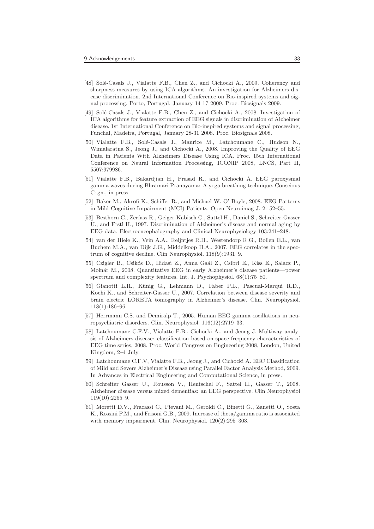- [48] Solé-Casals J., Vialatte F.B., Chen Z., and Cichocki A., 2009. Coherency and sharpness measures by using ICA algorithms. An investigation for Alzheimers disease discrimination. 2nd International Conference on Bio-inspired systems and signal processing, Porto, Portugal, January 14-17 2009. Proc. Biosignals 2009.
- [49] Solé-Casals J., Vialatte F.B., Chen Z., and Cichocki A., 2008. Investigation of ICA algorithms for feature extraction of EEG signals in discrimination of Alzheimer disease. 1st International Conference on Bio-inspired systems and signal processing, Funchal, Madeira, Portugal, January 28-31 2008. Proc. Biosignals 2008.
- [50] Vialatte F.B., Solé-Casals J., Maurice M., Latchoumane C., Hudson N. Wimalaratna S., Jeong J., and Cichocki A., 2008. Improving the Quality of EEG Data in Patients With Alzheimers Disease Using ICA. Proc. 15th International Conference on Neural Information Processing, ICONIP 2008, LNCS, Part II, 5507:979986.
- [51] Vialatte F.B., Bakardjian H., Prasad R., and Cichocki A. EEG paroxysmal gamma waves during Bhramari Pranayama: A yoga breathing technique. Conscious Cogn., in press.
- [52] Baker M., Akrofi K., Schiffer R., and Michael W. O' Boyle, 2008. EEG Patterns in Mild Cognitive Impairment (MCI) Patients. Open Neuroimag J. 2: 52–55.
- [53] Besthorn C., Zerfass R., Geiger-Kabisch C., Sattel H., Daniel S., Schreiter-Gasser U., and Frstl H., 1997. Discrimination of Alzheimer's disease and normal aging by EEG data. Electroencephalography and Clinical Neurophysiology 103:241–248.
- [54] van der Hiele K., Vein A.A., Reijntjes R.H., Westendorp R.G., Bollen E.L., van Buchem M.A., van Dijk J.G., Middelkoop H.A., 2007. EEG correlates in the spectrum of cognitive decline. Clin Neurophysiol. 118(9):1931–9.
- [55] Czigler B., Csikós D., Hidasi Z., Anna Gaál Z., Csibri E., Kiss E., Salacz P., Molnár M., 2008. Quantitative EEG in early Alzheimer's disease patients—power spectrum and complexity features. Int. J. Psychophysiol. 68(1):75–80.
- [56] Gianotti L.R., Künig G., Lehmann D., Faber P.L., Pascual-Marqui R.D., Kochi K., and Schreiter-Gasser U., 2007. Correlation between disease severity and brain electric LORETA tomography in Alzheimer's disease. Clin. Neurophysiol. 118(1):186–96.
- [57] Herrmann C.S. and Demiralp T., 2005. Human EEG gamma oscillations in neuropsychiatric disorders. Clin. Neurophysiol. 116(12):2719–33.
- [58] Latchoumane C.F.V., Vialatte F.B., Cichocki A., and Jeong J. Multiway analysis of Alzheimers disease: classification based on space-frequency characteristics of EEG time series, 2008. Proc. World Congress on Engineering 2008, London, United Kingdom, 2–4 July.
- [59] Latchoumane C.F.V, Vialatte F.B., Jeong J., and Cichocki A. EEC Classification of Mild and Severe Alzheimer's Disease using Parallel Factor Analysis Method, 2009. In Advances in Electrical Engineering and Computational Science, in press.
- [60] Schreiter Gasser U., Rousson V., Hentschel F., Sattel H., Gasser T., 2008. Alzheimer disease versus mixed dementias: an EEG perspective. Clin Neurophysiol 119(10):2255–9.
- [61] Moretti D.V., Fracassi C., Pievani M., Geroldi C., Binetti G., Zanetti O., Sosta K., Rossini P.M., and Frisoni G.B., 2009. Increase of theta/gamma ratio is associated with memory impairment. Clin. Neurophysiol.  $120(2):295-303$ .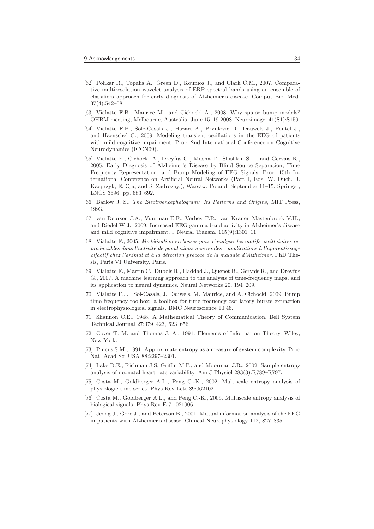- [62] Polikar R., Topalis A., Green D., Kounios J., and Clark C.M., 2007. Comparative multiresolution wavelet analysis of ERP spectral bands using an ensemble of classifiers approach for early diagnosis of Alzheimer's disease. Comput Biol Med. 37(4):542–58.
- [63] Vialatte F.B., Maurice M., and Cichocki A., 2008. Why sparse bump models? OHBM meeting, Melbourne, Australia, June 15–19 2008. Neuroimage, 41(S1):S159.
- [64] Vialatte F.B., Sole-Casals J., Hazart A., Prvulovic D., Dauwels J., Pantel J., and Haenschel C., 2009. Modeling transient oscillations in the EEG of patients with mild cognitive impairment. Proc. 2nd International Conference on Cognitive Neurodynamics (ICCN09).
- [65] Vialatte F., Cichocki A., Dreyfus G., Musha T., Shishkin S.L., and Gervais R., 2005. Early Diagnosis of Alzheimer's Disease by Blind Source Separation, Time Frequency Representation, and Bump Modeling of EEG Signals. Proc. 15th International Conference on Artificial Neural Networks (Part I, Eds. W. Duch, J. Kacprzyk, E. Oja, and S. Zadrozny,), Warsaw, Poland, September 11–15. Springer, LNCS 3696, pp. 683–692.
- [66] Barlow J. S., The Electroencephalogram: Its Patterns and Origins, MIT Press, 1993.
- [67] van Deursen J.A., Vuurman E.F., Verhey F.R., van Kranen-Mastenbroek V.H., and Riedel W.J., 2009. Increased EEG gamma band activity in Alzheimer's disease and mild cognitive impairment. J Neural Transm. 115(9):1301–11.
- [68] Vialatte F., 2005. Modélisation en bosses pour l'analyse des motifs oscillatoires reproductibles dans l'activité de populations neuronales : applications à l'apprentissage olfactif chez l'animal et à la détection précoce de la maladie d'Alzheimer, PhD Thesis, Paris VI University, Paris.
- [69] Vialatte F., Martin C., Dubois R., Haddad J., Quenet B., Gervais R., and Dreyfus G., 2007. A machine learning approach to the analysis of time-frequency maps, and its application to neural dynamics. Neural Networks 20, 194–209.
- [70] Vialatte F., J. Sol-Casals, J. Dauwels, M. Maurice, and A. Cichocki, 2009. Bump time-frequency toolbox: a toolbox for time-frequency oscillatory bursts extraction in electrophysiological signals. BMC Neuroscience 10:46.
- [71] Shannon C.E., 1948. A Mathematical Theory of Communication. Bell System Technical Journal 27:379–423, 623–656.
- [72] Cover T. M. and Thomas J. A., 1991. Elements of Information Theory. Wiley, New York.
- [73] Pincus S.M., 1991. Approximate entropy as a measure of system complexity. Proc Natl Acad Sci USA 88:2297–2301.
- [74] Lake D.E., Richman J.S, Griffin M.P., and Moorman J.R., 2002. Sample entropy analysis of neonatal heart rate variability. Am J Physiol 283(3):R789–R797.
- [75] Costa M., Goldberger A.L., Peng C.-K., 2002. Multiscale entropy analysis of physiologic time series. Phys Rev Lett 89:062102.
- [76] Costa M., Goldberger A.L., and Peng C.-K., 2005. Multiscale entropy analysis of biological signals. Phys Rev E 71:021906.
- [77] Jeong J., Gore J., and Peterson B., 2001. Mutual information analysis of the EEG in patients with Alzheimer's disease. Clinical Neurophysiology 112, 827–835.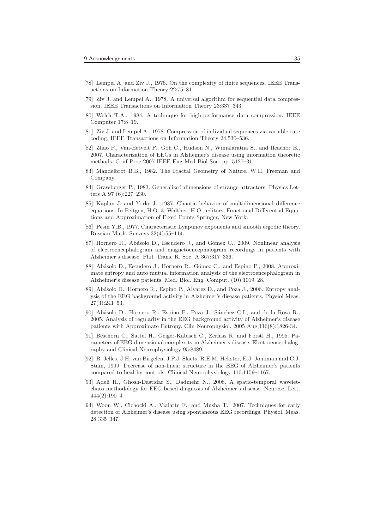- [78] Lempel A. and Ziv J., 1976. On the complexity of finite sequences. IEEE Transactions on Information Theory 22:75–81.
- [79] Ziv J. and Lempel A., 1978. A universal algorithm for sequential data compression. IEEE Transactions on Information Theory 23:337–343.
- [80] Welch T.A., 1984. A technique for high-performance data compression. IEEE Computer 17:8–19.
- [81] Ziv J. and Lempel A., 1978. Compression of individual sequences via variable-rate coding. IEEE Transactions on Information Theory 24:530–536.
- [82] Zhao P., Van-Eetvelt P., Goh C., Hudson N., Wimalaratna S., and Ifeachor E., 2007. Characterization of EEGs in Alzheimer's disease using information theoretic methods. Conf Proc 2007 IEEE Eng Med Biol Soc. pp. 5127–31.
- [83] Mandelbrot B.B., 1982. The Fractal Geometry of Nature. W.H. Freeman and Company.
- [84] Grassberger P., 1983. Generalized dimensions of strange attractors. Physics Letters A 97 (6):227–230.
- [85] Kaplan J. and Yorke J., 1987. Chaotic behavior of multidimensional difference equations. In Peitgen, H.O. & Walther, H.O., editors, Functional Differential Equations and Approximation of Fixed Points Springer, New York.
- [86] Pesin Y.B., 1977. Characteristic Lyapunov exponents and smooth ergodic theory. Russian Math. Surveys 32(4):55–114.
- [87] Hornero R., Abásolo D., Escudero J., and Gómez C., 2009. Nonlinear analysis of electroencephalogram and magnetoencephalogram recordings in patients with Alzheimer's disease. Phil. Trans. R. Soc. A 367:317–336.
- [88] Abásolo D., Escudero J., Hornero R., Gómez C., and Espino P., 2008. Approximate entropy and auto mutual information analysis of the electroencephalogram in Alzheimer's disease patients. Med. Biol. Eng. Comput. (10):1019–28.
- [89] Abásolo D., Hornero R., Espino P., Alvarez D., and Poza J., 2006. Entropy analysis of the EEG background activity in Alzheimer's disease patients. Physiol Meas.  $27(3):241-53.$
- [90] Abásolo D., Hornero R., Espino P., Poza J., Sánchez C.I., and de la Rosa R., 2005. Analysis of regularity in the EEG background activity of Alzheimer's disease patients with Approximate Entropy. Clin Neurophysiol. 2005 Aug;116(8):1826-34.
- [91] Besthorn C., Sattel H., Geiger-Kabisch C., Zerfass R. and Förstl H., 1995. Parameters of EEG dimensional complexity in Alzheimer's disease. Electroencephalography and Clinical Neurophysiology 95:8489.
- [92] B. Jelles, J.H. van Birgelen, J.P.J. Slaets, R.E.M. Hekster, E.J. Jonkman and C.J. Stam, 1999. Decrease of non-linear structure in the EEG of Alzheimer's patients compared to healthy controls. Clinical Neurophysiology 110:1159–1167.
- [93] Adeli H., Ghosh-Dastidar S., Dadmehr N., 2008. A spatio-temporal waveletchaos methodology for EEG-based diagnosis of Alzheimer's disease. Neurosci Lett. 444(2):190–4.
- [94] Woon W., Cichocki A., Vialatte F., and Musha T., 2007. Techniques for early detection of Alzheimer's disease using spontaneous EEG recordings. Physiol. Meas. 28 335–347.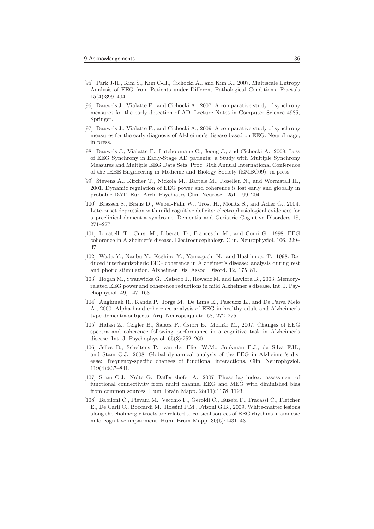- [95] Park J-H., Kim S., Kim C-H., Cichocki A., and Kim K., 2007. Multiscale Entropy Analysis of EEG from Patients under Different Pathological Conditions. Fractals 15(4):399–404.
- [96] Dauwels J., Vialatte F., and Cichocki A., 2007. A comparative study of synchrony measures for the early detection of AD. Lecture Notes in Computer Science 4985, Springer.
- [97] Dauwels J., Vialatte F., and Cichocki A., 2009. A comparative study of synchrony measures for the early diagnosis of Alzheimer's disease based on EEG. NeuroImage, in press.
- [98] Dauwels J., Vialatte F., Latchoumane C., Jeong J., and Cichocki A., 2009. Loss of EEG Synchrony in Early-Stage AD patients: a Study with Multiple Synchrony Measures and Multiple EEG Data Sets. Proc. 31th Annual International Conference of the IEEE Engineering in Medicine and Biology Society (EMBC09), in press
- [99] Stevens A., Kircher T., Nickola M., Bartels M., Rosellen N., and Wormstall H., 2001. Dynamic regulation of EEG power and coherence is lost early and globally in probable DAT. Eur. Arch. Psychiatry Clin. Neurosci. 251, 199–204.
- [100] Brassen S., Braus D., Weber-Fahr W., Trost H., Moritz S., and Adler G., 2004. Late-onset depression with mild cognitive deficits: electrophysiological evidences for a preclinical dementia syndrome. Dementia and Geriatric Cognitive Disorders 18, 271–277.
- [101] Locatelli T., Cursi M., Liberati D., Franceschi M., and Comi G., 1998. EEG coherence in Alzheimer's disease. Electroencephalogr. Clin. Neurophysiol. 106, 229– 37.
- [102] Wada Y., Nanbu Y., Koshino Y., Yamaguchi N., and Hashimoto T., 1998. Reduced interhemispheric EEG coherence in Alzheimer's disease: analysis during rest and photic stimulation. Alzheimer Dis. Assoc. Disord. 12, 175–81.
- [103] Hogan M., Swanwicka G., Kaiserb J., Rowanc M. and Lawlora B., 2003. Memoryrelated EEG power and coherence reductions in mild Alzheimer's disease. Int. J. Psychophysiol. 49, 147–163.
- [104] Anghinah R., Kanda P., Jorge M., De Lima E., Pascuzzi L., and De Paiva Melo A., 2000. Alpha band coherence analysis of EEG in healthy adult and Alzheimer's type dementia subjects. Arq. Neuropsiquiatr. 58, 272–275.
- [105] Hidasi Z., Czigler B., Salacz P., Csibri E., Molnár M., 2007. Changes of EEG spectra and coherence following performance in a cognitive task in Alzheimer's disease. Int. J. Psychophysiol. 65(3):252–260.
- [106] Jelles B., Scheltens P., van der Flier W.M., Jonkman E.J., da Silva F.H., and Stam C.J., 2008. Global dynamical analysis of the EEG in Alzheimer's disease: frequency-specific changes of functional interactions. Clin. Neurophysiol. 119(4):837–841.
- [107] Stam C.J., Nolte G., Daffertshofer A., 2007. Phase lag index: assessment of functional connectivity from multi channel EEG and MEG with diminished bias from common sources. Hum. Brain Mapp. 28(11):1178–1193.
- [108] Babiloni C., Pievani M., Vecchio F., Geroldi C., Eusebi F., Fracassi C., Fletcher E., De Carli C., Boccardi M., Rossini P.M., Frisoni G.B., 2009. White-matter lesions along the cholinergic tracts are related to cortical sources of EEG rhythms in amnesic mild cognitive impairment. Hum. Brain Mapp. 30(5):1431–43.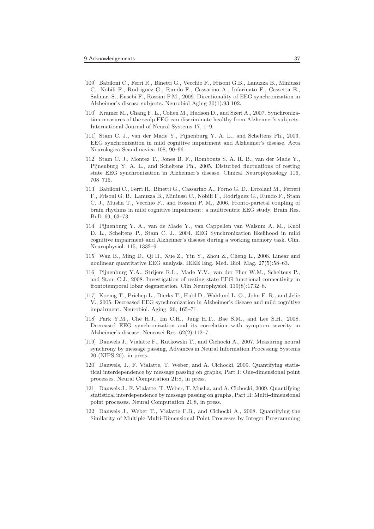- [109] Babiloni C., Ferri R., Binetti G., Vecchio F., Frisoni G.B., Lanuzza B., Miniussi C., Nobili F., Rodriguez G., Rundo F., Cassarino A., Infarinato F., Cassetta E., Salinari S., Eusebi F., Rossini P.M., 2009. Directionality of EEG synchronization in Alzheimer's disease subjects. Neurobiol Aging 30(1):93-102.
- [110] Kramer M., Chang F. L., Cohen M., Hudson D., and Szeri A., 2007. Synchronization measures of the scalp EEG can discriminate healthy from Alzheimer's subjects. International Journal of Neural Systems 17, 1–9.
- [111] Stam C. J., van der Made Y., Pijnenburg Y. A. L., and Scheltens Ph., 2003. EEG synchronization in mild cognitive impairment and Alzheimer's disease. Acta Neurologica Scandinavica 108, 90–96.
- [112] Stam C. J., Montez T., Jones B. F., Rombouts S. A. R. B., van der Made Y., Pijnenburg Y. A. L., and Scheltens Ph., 2005. Disturbed fluctuations of resting state EEG synchronization in Alzheimer's disease. Clinical Neurophysiology 116, 708–715.
- [113] Babiloni C., Ferri R., Binetti G., Cassarino A., Forno G. D., Ercolani M., Ferreri F., Frisoni G. B., Lanuzza B., Miniussi C., Nobili F., Rodriguez G., Rundo F., Stam C. J., Musha T., Vecchio F., and Rossini P. M., 2006. Fronto-parietal coupling of brain rhythms in mild cognitive impairment: a multicentric EEG study. Brain Res. Bull. 69, 63–73.
- [114] Pijnenburg Y. A., van de Made Y., van Cappellen van Walsum A. M., Knol D. L., Scheltens P., Stam C. J., 2004. EEG Synchronization likelihood in mild cognitive impairment and Alzheimer's disease during a working memory task. Clin. Neurophysiol. 115, 1332–9.
- [115] Wan B., Ming D., Qi H., Xue Z., Yin Y., Zhou Z., Cheng L., 2008. Linear and nonlinear quantitative EEG analysis. IEEE Eng. Med. Biol. Mag. 27(5):58–63.
- [116] Pijnenburg Y.A., Strijers R.L., Made Y.V., van der Flier W.M., Scheltens P., and Stam C.J., 2008. Investigation of resting-state EEG functional connectivity in frontotemporal lobar degeneration. Clin Neurophysiol. 119(8):1732–8.
- [117] Koenig T., Prichep L., Dierks T., Hubl D., Wahlund L. O., John E. R., and Jelic V., 2005. Decreased EEG synchronization in Alzheimer's disease and mild cognitive impairment. Neurobiol. Aging. 26, 165–71.
- [118] Park Y.M., Che H.J., Im C.H., Jung H.T., Bae S.M., and Lee S.H., 2008. Decreased EEG synchronization and its correlation with symptom severity in Alzheimer's disease. Neurosci Res. 62(2):112–7.
- [119] Dauwels J., Vialatte F., Rutkowski T., and Cichocki A., 2007. Measuring neural synchrony by message passing, Advances in Neural Information Processing Systems 20 (NIPS 20), in press.
- [120] Dauwels, J., F. Vialatte, T. Weber, and A. Cichocki, 2009. Quantifying statistical interdependence by message passing on graphs, Part I: One-dimensional point processes. Neural Computation 21:8, in press.
- [121] Dauwels J., F. Vialatte, T. Weber, T. Musha, and A. Cichocki, 2009. Quantifying statistical interdependence by message passing on graphs, Part II: Multi-dimensional point processes. Neural Computation 21:8, in press.
- [122] Dauwels J., Weber T., Vialatte F.B., and Cichocki A., 2008. Quantifying the Similarity of Multiple Multi-Dimensional Point Processes by Integer Programming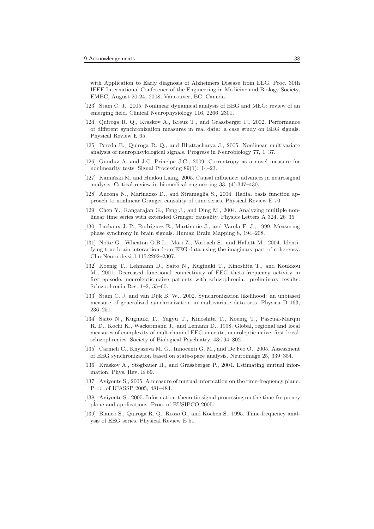with Application to Early diagnosis of Alzheimers Disease from EEG. Proc. 30th IEEE International Conference of the Engineering in Medicine and Biology Society, EMBC, August 20-24, 2008, Vancouver, BC, Canada.

- [123] Stam C. J., 2005. Nonlinear dynamical analysis of EEG and MEG: review of an emerging field. Clinical Neurophysiology 116, 2266–2301.
- [124] Quiroga R. Q., Kraskov A., Kreuz T., and Grassberger P., 2002. Performance of different synchronization measures in real data: a case study on EEG signals. Physical Review E 65.
- [125] Pereda E., Quiroga R. Q., and Bhattacharya J., 2005. Nonlinear multivariate analysis of neurophsyiological signals. Progress in Neurobiology 77, 1–37.
- [126] Gunduz A. and J.C. Principe J.C., 2009. Correntropy as a novel measure for nonlinearity tests. Signal Processing 89(1): 14–23.
- [127] Kaminski M. and Hualou Liang, 2005. Causal influence: advances in neurosignal analysis. Critical review in biomedical engineering 33, (4):347–430.
- [128] Ancona N., Marinazzo D., and Stramaglia S., 2004. Radial basis function approach to nonlinear Granger causality of time series. Physical Review E 70.
- [129] Chen Y., Rangarajan G., Feng J., and Ding M., 2004. Analyzing multiple nonlinear time series with extended Granger causality. Physics Letters A 324, 26–35.
- [130] Lachaux J.-P., Rodriguez E., Martinerie J., and Varela F. J., 1999. Measuring phase synchrony in brain signals. Human Brain Mapping 8, 194–208.
- [131] Nolte G., Wheaton O.B.L., Mari Z., Vorbach S., and Hallett M., 2004. Identifying true brain interaction from EEG data using the imaginary part of coherency. Clin Neurophysiol 115:2292–2307.
- [132] Koenig T., Lehmann D., Saito N., Kuginuki T., Kinoshita T., and Koukkou M., 2001. Decreased functional connectivity of EEG theta-frequency activity in first-episode, neuroleptic-naive patients with schizophrenia: preliminary results. Schizophrenia Res. 1–2, 55–60.
- [133] Stam C. J. and van Dijk B. W., 2002. Synchronization likelihood: an unbiased measure of generalized synchronization in multivariate data sets. Physica D 163, 236–251.
- [134] Saito N., Kuginuki T., Yagyu T., Kinoshita T., Koenig T., Pascual-Marqui R. D., Kochi K., Wackermann J., and Lemann D., 1998. Global, regional and local measures of complexity of multichannel EEG in acute, neuroleptic-naive, first-break schizophrenics. Society of Biological Psychiatry. 43:794–802.
- [135] Carmeli C., Knyazeva M. G., Innocenti G. M., and De Feo O., 2005. Assessment of EEG synchronization based on state-space analysis. Neuroimage 25, 339–354.
- [136] Kraskov A., Stögbauer H., and Grassberger P., 2004. Estimating mutual information. Phys. Rev. E 69.
- [137] Aviyente S., 2005. A measure of mutual information on the time-frequency plane. Proc. of ICASSP 2005, 481–484.
- [138] Aviyente S., 2005. Information-theoretic signal processing on the time-frequency plane and applications. Proc. of EUSIPCO 2005.
- [139] Blanco S., Quiroga R. Q., Rosso O., and Kochen S., 1995. Time-frequency analysis of EEG series. Physical Review E 51.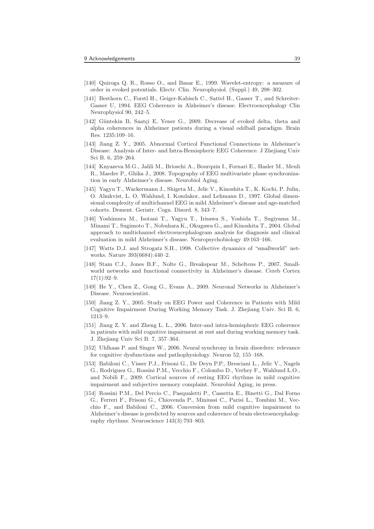- [140] Quiroga Q. R., Rosso O., and Basar E., 1999. Wavelet-entropy: a measure of order in evoked potentials. Electr. Clin. Neurophysiol. (Suppl.) 49, 298–302.
- [141] Besthorn C., Forstl H., Geiger-Kabisch C., Sattel H., Gasser T., and Schreiter-Gasser U, 1994. EEG Coherence in Alzheimer's disease. Electroencephalogr Clin Neurophysiol 90, 242–5.
- [142] Güntekin B, Saatci E, Yener G., 2009. Decrease of evoked delta, theta and alpha coherences in Alzheimer patients during a visual oddball paradigm. Brain Res. 1235:109–16.
- [143] Jiang Z. Y., 2005. Abnormal Corticol Functional Connections in Alzheimer's Disease: Analysis of Inter- and Intra-Hemispheric EEG Coherence. J Zhejiang Univ Sci B. 6, 259–264.
- [144] Knyazeva M.G., Jalili M., Brioschi A., Bourquin I., Fornari E., Hasler M., Meuli R., Maeder P., Ghika J., 2008. Topography of EEG multivariate phase synchronization in early Alzheimer's disease. Neurobiol Aging.
- [145] Yagyu T., Wackermann J., Shigeta M., Jelic V., Kinoshita T., K. Kochi, P. Julin, O. Almkvist, L. O. Wahlund, I. Kondakor, and Lehmann D., 1997. Global dimensional complexity of multichannel EEG in mild Alzheimer's disease and age-matched cohorts. Dement. Geriatr. Cogn. Disord. 8, 343–7.
- [146] Yoshimura M., Isotani T., Yagyu T., Irisawa S., Yoshida T., Sugiyama M., Minami T., Sugimoto T., Nobuhara K., Okugawa G., and Kinoshita T., 2004. Global approach to multichannel electroencephalogram analysis for diagnosis and clinical evaluation in mild Alzheimer's disease. Neuropsychobiology 49:163–166.
- [147] Watts D.J. and Strogatz S.H., 1998. Collective dynamics of "smallworld" networks. Nature 393(6684):440–2.
- [148] Stam C.J., Jones B.F., Nolte G., Breakspear M., Scheltens P., 2007. Smallworld networks and functional connectivity in Alzheimer's disease. Cereb Cortex  $17(1):92-9.$
- [149] He Y., Chen Z., Gong G., Evans A., 2009. Neuronal Networks in Alzheimer's Disease. Neuroscientist.
- [150] Jiang Z. Y., 2005. Study on EEG Power and Coherence in Patients with Mild Cognitive Impairment During Working Memory Task. J. Zhejiang Univ. Sci B. 6, 1213–9.
- [151] Jiang Z. Y. and Zheng L. L., 2006. Inter-and intra-hemispheric EEG coherence in patients with mild cognitive impairment at rest and during working memory task. J. Zhejiang Univ Sci B. 7, 357–364.
- [152] Uhlhaas P. and Singer W., 2006. Neural synchrony in brain disorders: relevance for cognitive dysfunctions and pathophysiology. Neuron 52, 155–168.
- [153] Babiloni C., Visser P.J., Frisoni G., De Deyn P.P., Bresciani L., Jelic V., Nagels G., Rodriguez G., Rossini P.M., Vecchio F., Colombo D., Verhey F., Wahlund L.O., and Nobili F., 2009. Cortical sources of resting EEG rhythms in mild cognitive impairment and subjective memory complaint. Neurobiol Aging, in press.
- [154] Rossini P.M., Del Percio C., Pasqualetti P., Cassetta E., Binetti G., Dal Forno G., Ferreri F., Frisoni G., Chiovenda P., Miniussi C., Parisi L., Tombini M., Vecchio F., and Babiloni C., 2006. Conversion from mild cognitive impairment to Alzheimer's disease is predicted by sources and coherence of brain electroencephalography rhythms. Neuroscience 143(3):793–803.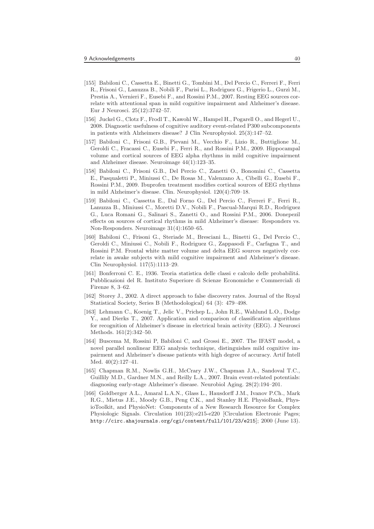- [155] Babiloni C., Cassetta E., Binetti G., Tombini M., Del Percio C., Ferreri F., Ferri R., Frisoni G., Lanuzza B., Nobili F., Parisi L., Rodriguez G., Frigerio L., Gurzì M., Prestia A., Vernieri F., Eusebi F., and Rossini P.M., 2007. Resting EEG sources correlate with attentional span in mild cognitive impairment and Alzheimer's disease. Eur J Neurosci. 25(12):3742–57.
- [156] Juckel G., Clotz F., Frodl T., Kawohl W., Hampel H., Pogarell O., and Hegerl U., 2008. Diagnostic usefulness of cognitive auditory event-related P300 subcomponents in patients with Alzheimers disease? J Clin Neurophysiol. 25(3):147–52.
- [157] Babiloni C., Frisoni G.B., Pievani M., Vecchio F., Lizio R., Buttiglione M., Geroldi C., Fracassi C., Eusebi F., Ferri R., and Rossini P.M., 2009. Hippocampal volume and cortical sources of EEG alpha rhythms in mild cognitive impairment and Alzheimer disease. Neuroimage 44(1):123–35.
- [158] Babiloni C., Frisoni G.B., Del Percio C., Zanetti O., Bonomini C., Cassetta E., Pasqualetti P., Miniussi C., De Rosas M., Valenzano A., Cibelli G., Eusebi F., Rossini P.M., 2009. Ibuprofen treatment modifies cortical sources of EEG rhythms in mild Alzheimer's disease. Clin. Neurophysiol. 120(4):709–18.
- [159] Babiloni C., Cassetta E., Dal Forno G., Del Percio C., Ferreri F., Ferri R., Lanuzza B., Miniussi C., Moretti D.V., Nobili F., Pascual-Marqui R.D., Rodriguez G., Luca Romani G., Salinari S., Zanetti O., and Rossini P.M., 2006. Donepezil effects on sources of cortical rhythms in mild Alzheimer's disease: Responders vs. Non-Responders. Neuroimage 31(4):1650–65.
- [160] Babiloni C., Frisoni G., Steriade M., Bresciani L., Binetti G., Del Percio C., Geroldi C., Miniussi C., Nobili F., Rodriguez G., Zappasodi F., Carfagna T., and Rossini P.M. Frontal white matter volume and delta EEG sources negatively correlate in awake subjects with mild cognitive impairment and Alzheimer's disease. Clin Neurophysiol. 117(5):1113–29.
- [161] Bonferroni C. E., 1936. Teoria statistica delle classi e calcolo delle probabilità Pubblicazioni del R. Instituto Superiore di Scienze Economiche e Commerciali di Firenze 8, 3–62.
- [162] Storey J., 2002. A direct approach to false discovery rates. Journal of the Royal Statistical Society, Series B (Methodological) 64 (3): 479–498.
- [163] Lehmann C., Koenig T., Jelic V., Prichep L., John R.E., Wahlund L.O., Dodge Y., and Dierks T., 2007. Application and comparison of classification algorithms for recognition of Alzheimer's disease in electrical brain activity (EEG). J Neurosci Methods. 161(2):342–50.
- [164] Buscema M, Rossini P, Babiloni C, and Grossi E., 2007. The IFAST model, a novel parallel nonlinear EEG analysis technique, distinguishes mild cognitive impairment and Alzheimer's disease patients with high degree of accuracy. Artif Intell Med. 40(2):127–41.
- [165] Chapman R.M., Nowlis G.H., McCrary J.W., Chapman J.A., Sandoval T.C., Guillily M.D., Gardner M.N., and Reilly L.A., 2007. Brain event-related potentials: diagnosing early-stage Alzheimer's disease. Neurobiol Aging. 28(2):194–201.
- [166] Goldberger A.L., Amaral L.A.N., Glass L., Hausdorff J.M., Ivanov P.Ch., Mark R.G., Mietus J.E., Moody G.B., Peng C.K., and Stanley H.E. PhysioBank, PhysioToolkit, and PhysioNet: Components of a New Research Resource for Complex Physiologic Signals. Circulation 101(23):e215-e220 [Circulation Electronic Pages; http://circ.ahajournals.org/cgi/content/full/101/23/e215]; 2000 (June 13).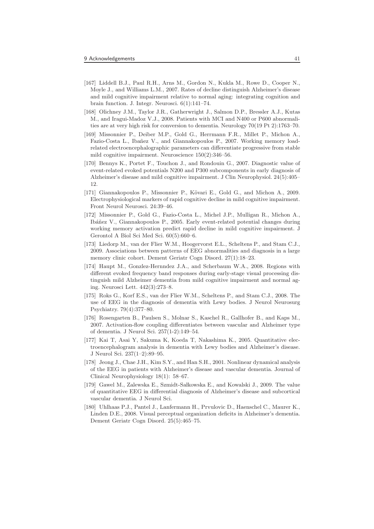- [167] Liddell B.J., Paul R.H., Arns M., Gordon N., Kukla M., Rowe D., Cooper N., Moyle J., and Williams L.M., 2007. Rates of decline distinguish Alzheimer's disease and mild cognitive impairment relative to normal aging: integrating cognition and brain function. J. Integr. Neurosci. 6(1):141–74.
- [168] Olichney J.M., Taylor J.R., Gatherwright J., Salmon D.P., Bressler A.J., Kutas M., and Iragui-Madoz V.J., 2008. Patients with MCI and N400 or P600 abnormalities are at very high risk for conversion to dementia. Neurology 70(19 Pt 2):1763–70.
- [169] Missonnier P., Deiber M.P., Gold G., Herrmann F.R., Millet P., Michon A., Fazio-Costa L., Ibañez V., and Giannakopoulos P., 2007. Working memory loadrelated electroencephalographic parameters can differentiate progressive from stable mild cognitive impairment. Neuroscience 150(2):346–56.
- [170] Bennys K., Portet F., Touchon J., and Rondouin G., 2007. Diagnostic value of event-related evoked potentials N200 and P300 subcomponents in early diagnosis of Alzheimer's disease and mild cognitive impairment. J Clin Neurophysiol. 24(5):405– 12.
- [171] Giannakopoulos P., Missonnier P., Kövari E., Gold G., and Michon A., 2009. Electrophysiological markers of rapid cognitive decline in mild cognitive impairment. Front Neurol Neurosci. 24:39–46.
- [172] Missonnier P., Gold G., Fazio-Costa L., Michel J.P., Mulligan R., Michon A., Ibáñez V., Giannakopoulos P., 2005. Early event-related potential changes during working memory activation predict rapid decline in mild cognitive impairment. J Gerontol A Biol Sci Med Sci. 60(5):660–6.
- [173] Liedorp M., van der Flier W.M., Hoogervorst E.L., Scheltens P., and Stam C.J., 2009. Associations between patterns of EEG abnormalities and diagnosis in a large memory clinic cohort. Dement Geriatr Cogn Disord. 27(1):18–23.
- [174] Haupt M., Gonzlez-Hernndez J.A., and Scherbaum W.A., 2008. Regions with different evoked frequency band responses during early-stage visual processing distinguish mild Alzheimer dementia from mild cognitive impairment and normal aging. Neurosci Lett. 442(3):273–8.
- [175] Roks G., Korf E.S., van der Flier W.M., Scheltens P., and Stam C.J., 2008. The use of EEG in the diagnosis of dementia with Lewy bodies. J Neurol Neurosurg Psychiatry. 79(4):377–80.
- [176] Rosengarten B., Paulsen S., Molnar S., Kaschel R., Gallhofer B., and Kaps M., 2007. Activation-flow coupling differentiates between vascular and Alzheimer type of dementia. J Neurol Sci. 257(1-2):149–54.
- [177] Kai T, Asai Y, Sakuma K, Koeda T, Nakashima K., 2005. Quantitative electroencephalogram analysis in dementia with Lewy bodies and Alzheimer's disease. J Neurol Sci. 237(1–2):89–95.
- [178] Jeong J., Chae J.H., Kim S.Y., and Han S.H., 2001. Nonlinear dynamical analysis of the EEG in patients with Alzheimer's disease and vascular dementia. Journal of Clinical Neurophysiology 18(1): 58–67.
- [179] Gawel M., Zalewska E., Szmidt-Sałkowska E., and Kowalski J., 2009. The value of quantitative EEG in differential diagnosis of Alzheimer's disease and subcortical vascular dementia. J Neurol Sci.
- [180] Uhlhaas P.J., Pantel J., Lanfermann H., Prvulovic D., Haenschel C., Maurer K., Linden D.E., 2008. Visual perceptual organization deficits in Alzheimer's dementia. Dement Geriatr Cogn Disord. 25(5):465–75.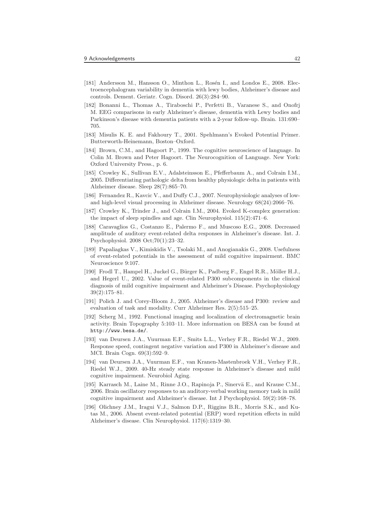- [181] Andersson M., Hansson O., Minthon L., Rosén I., and Londos E., 2008. Electroencephalogram variability in dementia with lewy bodies, Alzheimer's disease and controls. Dement. Geriatr. Cogn. Disord. 26(3):284–90.
- [182] Bonanni L., Thomas A., Tiraboschi P., Perfetti B., Varanese S., and Onofrj M. EEG comparisons in early Alzheimer's disease, dementia with Lewy bodies and Parkinson's disease with dementia patients with a 2-year follow-up. Brain. 131:690– 705.
- [183] Misulis K. E. and Fakhoury T., 2001. Spehlmann's Evoked Potential Primer. Butterworth-Heinemann, Boston–Oxford.
- [184] Brown, C.M., and Hagoort P., 1999. The cognitive neuroscience of language. In Colin M. Brown and Peter Hagoort. The Neurocognition of Language. New York: Oxford University Press., p. 6.
- [185] Crowley K., Sullivan E.V., Adalsteinsson E., Pfefferbaum A., and Colrain I.M., 2005. Differentiating pathologic delta from healthy physiologic delta in patients with Alzheimer disease. Sleep 28(7):865–70.
- [186] Fernandez R., Kavcic V., and Duffy C.J., 2007. Neurophysiologic analyses of lowand high-level visual processing in Alzheimer disease. Neurology 68(24):2066–76.
- [187] Crowley K., Trinder J., and Colrain I.M., 2004. Evoked K-complex generation: the impact of sleep spindles and age. Clin Neurophysiol. 115(2):471–6.
- [188] Caravaglios G., Costanzo E., Palermo F., and Muscoso E.G., 2008. Decreased amplitude of auditory event-related delta responses in Alzheimer's disease. Int. J. Psychophysiol. 2008 Oct;70(1):23–32.
- [189] Papaliagkas V., Kimiskidis V., Tsolaki M., and Anogianakis G., 2008. Usefulness of event-related potentials in the assessment of mild cognitive impairment. BMC Neuroscience 9:107.
- [190] Frodl T., Hampel H., Juckel G., Bürger K., Padberg F., Engel R.R., Möller H.J. and Hegerl U., 2002. Value of event-related P300 subcomponents in the clinical diagnosis of mild cognitive impairment and Alzheimer's Disease. Psychophysiology 39(2):175–81.
- [191] Polich J. and Corey-Bloom J., 2005. Alzheimer's disease and P300: review and evaluation of task and modality. Curr Alzheimer Res. 2(5):515–25.
- [192] Scherg M., 1992. Functional imaging and localization of electromagnetic brain activity. Brain Topography 5:103–11. More information on BESA can be found at http://www.besa.de/.
- [193] van Deursen J.A., Vuurman E.F., Smits L.L., Verhey F.R., Riedel W.J., 2009. Response speed, contingent negative variation and P300 in Alzheimer's disease and MCI. Brain Cogn. 69(3):592–9.
- [194] van Deursen J.A., Vuurman E.F., van Kranen-Mastenbroek V.H., Verhey F.R., Riedel W.J., 2009. 40-Hz steady state response in Alzheimer's disease and mild cognitive impairment. Neurobiol Aging.
- [195] Karrasch M., Laine M., Rinne J.O., Rapinoja P., Sinervä E., and Krause C.M. 2006. Brain oscillatory responses to an auditory-verbal working memory task in mild cognitive impairment and Alzheimer's disease. Int J Psychophysiol. 59(2):168–78.
- [196] Olichney J.M., Iragui V.J., Salmon D.P., Riggins B.R., Morris S.K., and Kutas M., 2006. Absent event-related potential (ERP) word repetition effects in mild Alzheimer's disease. Clin Neurophysiol. 117(6):1319–30.